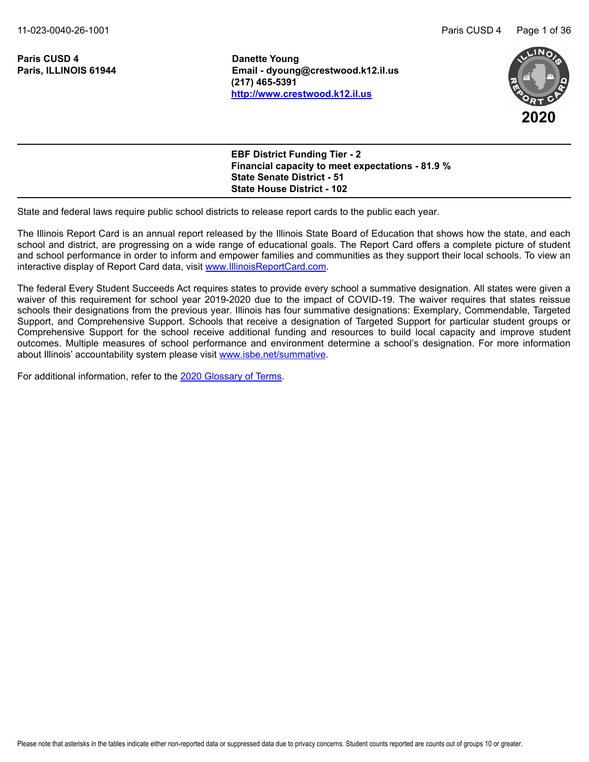11-023-0040-26-1001 Paris CUSD 4 Page 1 of 36

**Paris CUSD 4 Danette Young** 

**Paris, ILLINOIS 61944 Email - dyoung@crestwood.k12.il.us (217) 465-5391 <http://www.crestwood.k12.il.us>**



| <b>State Senate District - 51</b> | <b>EBF District Funding Tier - 2</b><br><b>Financial capacity to meet expectations - 81.9 %</b> |  |
|-----------------------------------|-------------------------------------------------------------------------------------------------|--|
| <b>State House District - 102</b> |                                                                                                 |  |

State and federal laws require public school districts to release report cards to the public each year.

The Illinois Report Card is an annual report released by the Illinois State Board of Education that shows how the state, and each school and district, are progressing on a wide range of educational goals. The Report Card offers a complete picture of student and school performance in order to inform and empower families and communities as they support their local schools. To view an interactive display of Report Card data, visit [www.IllinoisReportCard.com](https://www.illinoisreportcard.com/).

The federal Every Student Succeeds Act requires states to provide every school a summative designation. All states were given a waiver of this requirement for school year 2019-2020 due to the impact of COVID-19. The waiver requires that states reissue schools their designations from the previous year. Illinois has four summative designations: Exemplary, Commendable, Targeted Support, and Comprehensive Support. Schools that receive a designation of Targeted Support for particular student groups or Comprehensive Support for the school receive additional funding and resources to build local capacity and improve student outcomes. Multiple measures of school performance and environment determine a school's designation. For more information about Illinois' accountability system please visi[t www.isbe.net/summative](https://www.isbe.net/summative).

For additional information, refer to th[e 2020 Glossary of Terms](https://www.isbe.net/Documents/2020-Glossary-of-Terms.pdf).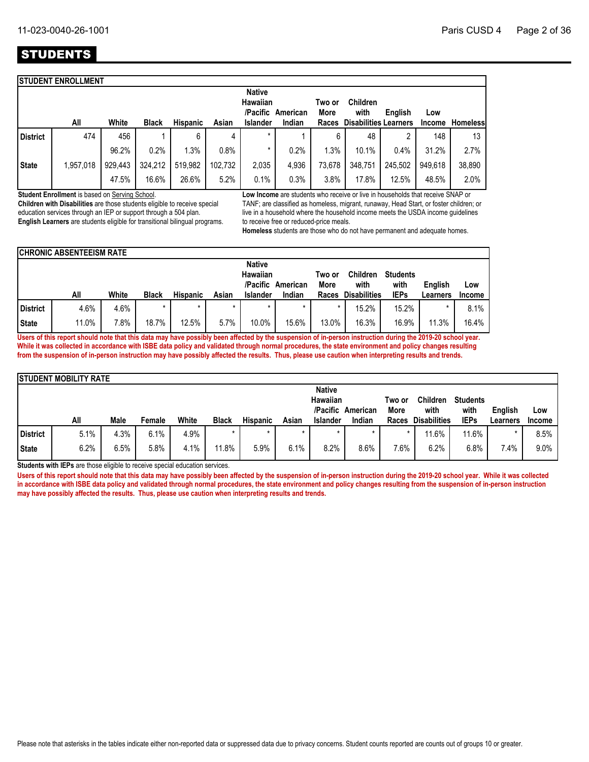# **STUDENTS**

|                 | <b>STUDENT ENROLLMENT</b> |         |              |                 |         |                           |                   |                |                              |         |         |                 |
|-----------------|---------------------------|---------|--------------|-----------------|---------|---------------------------|-------------------|----------------|------------------------------|---------|---------|-----------------|
|                 |                           |         |              |                 |         | <b>Native</b><br>Hawaiian | /Pacific American | Two or<br>More | <b>Children</b><br>with      | English | Low     |                 |
|                 | All                       | White   | <b>Black</b> | <b>Hispanic</b> | Asian   | <b>Islander</b>           | Indian            | Races          | <b>Disabilities Learners</b> |         | Income  | <b>Homeless</b> |
| <b>District</b> | 474                       | 456     |              | 6               | 4       | $\star$                   |                   | 6              | 48                           | ∩       | 148     | 13              |
|                 |                           | 96.2%   | 0.2%         | 1.3%            | 0.8%    | *                         | 0.2%              | $.3\%$         | 10.1%                        | 0.4%    | 31.2%   | 2.7%            |
| <b>State</b>    | 1,957,018                 | 929,443 | 324,212      | 519,982         | 102.732 | 2,035                     | 4,936             | 73,678         | 348,751                      | 245,502 | 949.618 | 38,890          |
|                 |                           | 47.5%   | 16.6%        | 26.6%           | 5.2%    | 0.1%                      | 0.3%              | 3.8%           | 17.8%                        | 12.5%   | 48.5%   | 2.0%            |

**Student Enrollment** is based on Serving School.

**Children with Disabilities** are those students eligible to receive special education services through an IEP or support through a 504 plan. **English Learners** are students eligible for transitional bilingual programs. **Low Income** are students who receive or live in households that receive SNAP or TANF; are classified as homeless, migrant, runaway, Head Start, or foster children; or live in a household where the household income meets the USDA income guidelines to receive free or reduced-price meals.

**Homeless** students are those who do not have permanent and adequate homes.

|              | <b>CHRONIC ABSENTEEISM RATE</b> |       |              |                 |         |                                  |                   |                |                         |                         |          |               |
|--------------|---------------------------------|-------|--------------|-----------------|---------|----------------------------------|-------------------|----------------|-------------------------|-------------------------|----------|---------------|
|              |                                 |       |              |                 |         | <b>Native</b><br><b>Hawaiian</b> | /Pacific American | Two or<br>More | <b>Children</b><br>with | <b>Students</b><br>with | English  | Low           |
|              | All                             | White | <b>Black</b> | <b>Hispanic</b> | Asian   | <b>Islander</b>                  | Indian            | Races          | <b>Disabilities</b>     | <b>IEPs</b>             | Learners | <b>Income</b> |
| District     | 4.6%                            | 4.6%  | $\star$      | $\star$         | $\star$ | $\star$                          | $\star$           |                | 15.2%                   | 15.2%                   |          | 8.1%          |
| <b>State</b> | 11.0%                           | 7.8%  | 18.7%        | 12.5%           | 5.7%    | 10.0%                            | 15.6%             | 13.0%          | 16.3%                   | 16.9%                   | 11.3%    | 16.4%         |

**Users of this report should note that this data may have possibly been affected by the suspension of in-person instruction during the 2019-20 school year. While it was collected in accordance with ISBE data policy and validated through normal procedures, the state environment and policy changes resulting from the suspension of in-person instruction may have possibly affected the results. Thus, please use caution when interpreting results and trends.**

|                 | <b>ISTUDENT MOBILITY RATE</b> |      |        |       |              |                 |         |                                                     |                             |                         |                                                |                                        |                     |                      |
|-----------------|-------------------------------|------|--------|-------|--------------|-----------------|---------|-----------------------------------------------------|-----------------------------|-------------------------|------------------------------------------------|----------------------------------------|---------------------|----------------------|
|                 | All                           | Male | Female | White | <b>Black</b> | <b>Hispanic</b> | Asian   | <b>Native</b><br><b>Hawaiian</b><br><b>Islander</b> | /Pacific American<br>Indian | Two or<br>More<br>Races | <b>Children</b><br>with<br><b>Disabilities</b> | <b>Students</b><br>with<br><b>IEPs</b> | English<br>Learners | Low<br><b>Income</b> |
| <b>District</b> | 5.1%                          | 4.3% | 6.1%   | 4.9%  |              | $\star$         | $\star$ | $\star$                                             |                             |                         | 11.6%                                          | 11.6%                                  |                     | 8.5%                 |
| <b>State</b>    | 6.2%                          | 6.5% | 5.8%   | 4.1%  | 11.8%        | 5.9%            | 6.1%    | 8.2%                                                | 8.6%                        | 7.6%                    | 6.2%                                           | $6.8\%$                                | 7.4%                | 9.0%                 |

**Students with IEPs** are those eligible to receive special education services.

Users of this report should note that this data may have possibly been affected by the suspension of in-person instruction during the 2019-20 school year. While it was collected **in accordance with ISBE data policy and validated through normal procedures, the state environment and policy changes resulting from the suspension of in-person instruction may have possibly affected the results. Thus, please use caution when interpreting results and trends.**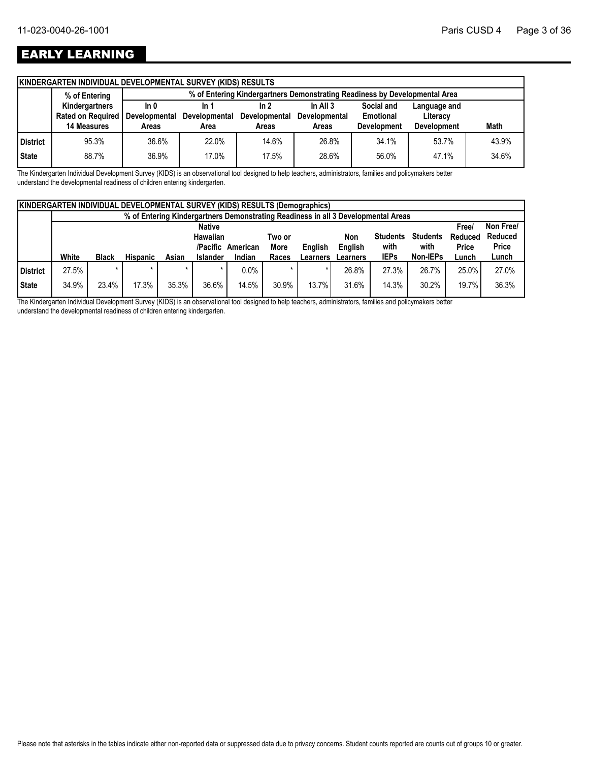# EARLY LEARNING

| % of Entering  |                    |                              |                       |                                                                             |                        |                    |                                                                                                  |
|----------------|--------------------|------------------------------|-----------------------|-----------------------------------------------------------------------------|------------------------|--------------------|--------------------------------------------------------------------------------------------------|
| Kindergartners | ln 0               | In 1                         | ln 2                  | In All $3$                                                                  | Social and             | Language and       |                                                                                                  |
|                |                    | <b>Developmental</b>         |                       | Developmental                                                               | Emotional              | Literacy           |                                                                                                  |
|                |                    |                              |                       |                                                                             |                        |                    | <b>Math</b>                                                                                      |
| 95.3%          | 36.6%              | 22.0%                        | 14.6%                 | 26.8%                                                                       | 34.1%                  | 53.7%              | 43.9%                                                                                            |
| 88.7%          | 36.9%              | 17.0%                        | 17.5%                 | 28.6%                                                                       | 56.0%                  | 47.1%              | 34.6%                                                                                            |
|                | <b>14 Measures</b> | Rated on Required  <br>Areas | Developmental<br>Area | <b>KINDERGARTEN INDIVIDUAL DEVELOPMENTAL SURVEY (KIDS) RESULTS</b><br>Areas | Developmental<br>Areas | <b>Development</b> | % of Entering Kindergartners Demonstrating Readiness by Developmental Area<br><b>Development</b> |

The Kindergarten Individual Development Survey (KIDS) is an observational tool designed to help teachers, administrators, families and policymakers better understand the developmental readiness of children entering kindergarten.

|          | <b>KINDERGARTEN INDIVIDUAL DEVELOPMENTAL SURVEY (KIDS) RESULTS (Demographics)</b> |              |                 |       |                 |          |             |                |                                                                                   |                 |                 |              |              |
|----------|-----------------------------------------------------------------------------------|--------------|-----------------|-------|-----------------|----------|-------------|----------------|-----------------------------------------------------------------------------------|-----------------|-----------------|--------------|--------------|
|          |                                                                                   |              |                 |       |                 |          |             |                | % of Entering Kindergartners Demonstrating Readiness in all 3 Developmental Areas |                 |                 |              |              |
|          |                                                                                   |              |                 |       | <b>Native</b>   |          |             |                |                                                                                   |                 |                 | <b>Free/</b> | Non Free/    |
|          |                                                                                   |              |                 |       | Hawaiian        |          | Two or      |                | Non                                                                               | <b>Students</b> | <b>Students</b> | Reduced      | Reduced      |
|          |                                                                                   |              |                 |       | /Pacific        | American | <b>More</b> | <b>Enalish</b> | English                                                                           | with            | with            | Price        | <b>Price</b> |
|          | White                                                                             | <b>Black</b> | <b>Hispanic</b> | Asian | <b>Islander</b> | Indian   | Races       | Learners       | Learners                                                                          | <b>IEPs</b>     | Non-IEPs        | Lunch        | Lunch        |
| District | 27.5%                                                                             |              |                 |       |                 | 0.0%     |             |                | 26.8%                                                                             | 27.3%           | 26.7%           | 25.0%        | 27.0%        |
| State    | 34.9%                                                                             | 23.4%        | 17.3%           | 35.3% | 36.6%           | 14.5%    | 30.9%       | 13.7%          | 31.6%                                                                             | 14.3%           | 30.2%           | 19.7%        | 36.3%        |

The Kindergarten Individual Development Survey (KIDS) is an observational tool designed to help teachers, administrators, families and policymakers better understand the developmental readiness of children entering kindergarten.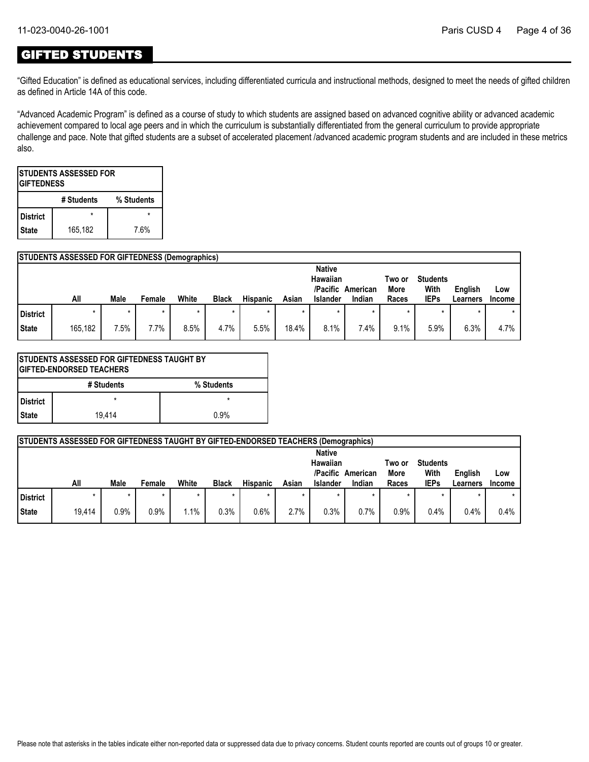### GIFTED STUDENTS

"Gifted Education" is defined as educational services, including differentiated curricula and instructional methods, designed to meet the needs of gifted children as defined in Article 14A of this code.

"Advanced Academic Program" is defined as a course of study to which students are assigned based on advanced cognitive ability or advanced academic achievement compared to local age peers and in which the curriculum is substantially differentiated from the general curriculum to provide appropriate challenge and pace. Note that gifted students are a subset of accelerated placement /advanced academic program students and are included in these metrics also.

|                 | <b>ISTUDENTS ASSESSED FOR</b><br><b>IGIFTEDNESS</b> |            |  |  |  |  |  |  |  |  |  |
|-----------------|-----------------------------------------------------|------------|--|--|--|--|--|--|--|--|--|
|                 | # Students                                          | % Students |  |  |  |  |  |  |  |  |  |
| <b>District</b> |                                                     |            |  |  |  |  |  |  |  |  |  |
| <b>State</b>    | 165,182                                             | 7.6%       |  |  |  |  |  |  |  |  |  |

### **STUDENTS ASSESSED FOR GIFTEDNESS (Demographics)**

|              |         |      |        |       |              |                 |       | <b>Native</b><br>Hawaiian |          | Two or | <b>Students</b> |          |               |
|--------------|---------|------|--------|-------|--------------|-----------------|-------|---------------------------|----------|--------|-----------------|----------|---------------|
|              |         |      |        |       |              |                 |       | /Pacific                  | American | More   | With            | English  | Low           |
|              | All     | Male | Female | White | <b>Black</b> | <b>Hispanic</b> | Asian | <b>Islander</b>           | Indian   | Races  | <b>IEPs</b>     | Learners | <b>Income</b> |
| District     |         |      |        |       | $\star$      | $\star$         |       |                           |          | $\ast$ | *               | ÷        | $\star$       |
| <b>State</b> | 165,182 | 7.5% | 7.7%   | 8.5%  | 4.7%         | 5.5%            | 18.4% | 8.1%                      | 7.4%     | 9.1%   | 5.9%            | 6.3%     | 4.7%          |

| ISTUDENTS ASSESSED FOR GIFTEDNESS TAUGHT BY<br>IGIFTED-ENDORSED TEACHERS |            |            |  |  |  |  |  |  |  |  |
|--------------------------------------------------------------------------|------------|------------|--|--|--|--|--|--|--|--|
|                                                                          | # Students | % Students |  |  |  |  |  |  |  |  |
| <b>District</b>                                                          | $\star$    | $\star$    |  |  |  |  |  |  |  |  |
| <b>State</b>                                                             | 19.414     | 0.9%       |  |  |  |  |  |  |  |  |

|          | STUDENTS ASSESSED FOR GIFTEDNESS TAUGHT BY GIFTED-ENDORSED TEACHERS (Demographics) |      |        |       |              |                 |         |                      |          |                |                         |                |               |
|----------|------------------------------------------------------------------------------------|------|--------|-------|--------------|-----------------|---------|----------------------|----------|----------------|-------------------------|----------------|---------------|
|          |                                                                                    |      |        |       |              |                 |         | <b>Native</b>        |          |                |                         |                |               |
|          |                                                                                    |      |        |       |              |                 |         | Hawaiian<br>/Pacific | American | Two or<br>More | <b>Students</b><br>With | <b>English</b> | Low           |
|          | All                                                                                | Male | Female | White | <b>Black</b> | <b>Hispanic</b> | Asian   | <b>Islander</b>      | Indian   | Races          | <b>IEPs</b>             | Learners       | <b>Income</b> |
| District |                                                                                    |      |        |       |              |                 | $\star$ |                      |          |                |                         |                |               |
|          |                                                                                    |      |        |       |              |                 |         |                      |          |                |                         |                |               |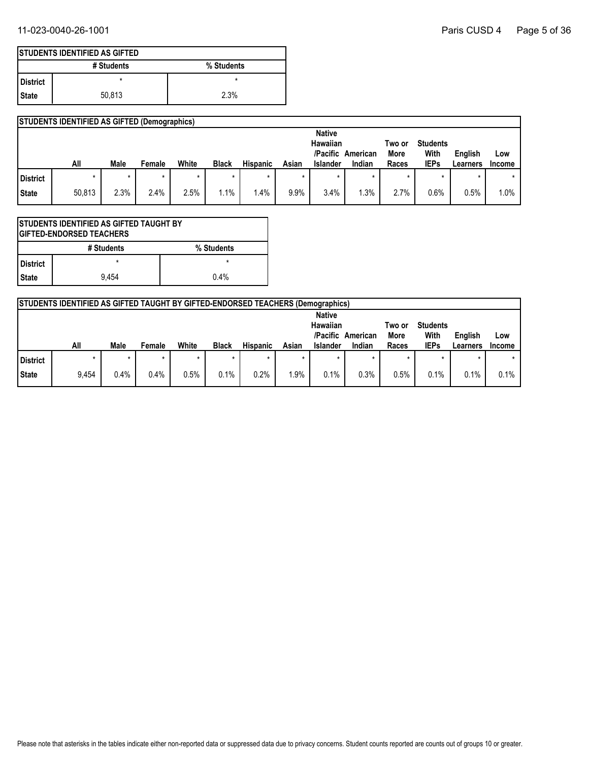|                 | <b>STUDENTS IDENTIFIED AS GIFTED</b> |            |
|-----------------|--------------------------------------|------------|
|                 | # Students                           | % Students |
| <b>District</b> | ×                                    | ×          |
| l State         | 50.813                               | 2.3%       |

|              | <b>STUDENTS IDENTIFIED AS GIFTED (Demographics)</b> |             |         |         |              |                 |       |                 |          |        |                 |          |               |
|--------------|-----------------------------------------------------|-------------|---------|---------|--------------|-----------------|-------|-----------------|----------|--------|-----------------|----------|---------------|
|              |                                                     |             |         |         |              |                 |       | <b>Native</b>   |          |        |                 |          |               |
|              |                                                     |             |         |         |              |                 |       | Hawaiian        |          | Two or | <b>Students</b> |          |               |
|              |                                                     |             |         |         |              |                 |       | /Pacific        | American | More   | With            | English  | Low           |
|              | All                                                 | <b>Male</b> | Female  | White   | <b>Black</b> | <b>Hispanic</b> | Asian | <b>Islander</b> | Indian   | Races  | <b>IEPs</b>     | Learners | <b>Income</b> |
| District     |                                                     |             | $\star$ | $\star$ | $\star$      |                 |       |                 | $\star$  | *      | $\star$         |          | $^\star$      |
| <b>State</b> | 50,813                                              | 2.3%        | 2.4%    | 2.5%    | $.1\%$       | .4%             | 9.9%  | 3.4%            | .3%      | 2.7%   | 0.6%            | 0.5%     | 1.0%          |

| ISTUDENTS IDENTIFIED AS GIFTED TAUGHT BY<br><b>IGIFTED-ENDORSED TEACHERS</b> |            |            |  |  |
|------------------------------------------------------------------------------|------------|------------|--|--|
|                                                                              | # Students | % Students |  |  |
| l District                                                                   |            |            |  |  |
| <b>State</b>                                                                 | 9.454      | 0.4%       |  |  |

|          | <b>STUDENTS IDENTIFIED AS GIFTED TAUGHT BY GIFTED-ENDORSED TEACHERS (Demographics)</b> |             |        |       |              |                 |       |                                                          |                    |                         |                                        |                     |                      |
|----------|----------------------------------------------------------------------------------------|-------------|--------|-------|--------------|-----------------|-------|----------------------------------------------------------|--------------------|-------------------------|----------------------------------------|---------------------|----------------------|
|          | All                                                                                    | <b>Male</b> | Female | White | <b>Black</b> | <b>Hispanic</b> | Asian | <b>Native</b><br>Hawaiian<br>/Pacific<br><b>Islander</b> | American<br>Indian | Two or<br>More<br>Races | <b>Students</b><br>With<br><b>IEPs</b> | English<br>Learners | Low<br><b>Income</b> |
| District |                                                                                        |             |        |       |              |                 |       |                                                          |                    | $\star$                 |                                        |                     |                      |
| State    | 9,454                                                                                  | 0.4%        | 0.4%   | 0.5%  | 0.1%         | 0.2%            | .9%   | 0.1%                                                     | 0.3%               | 0.5%                    | 0.1%                                   | 0.1%                | 0.1%                 |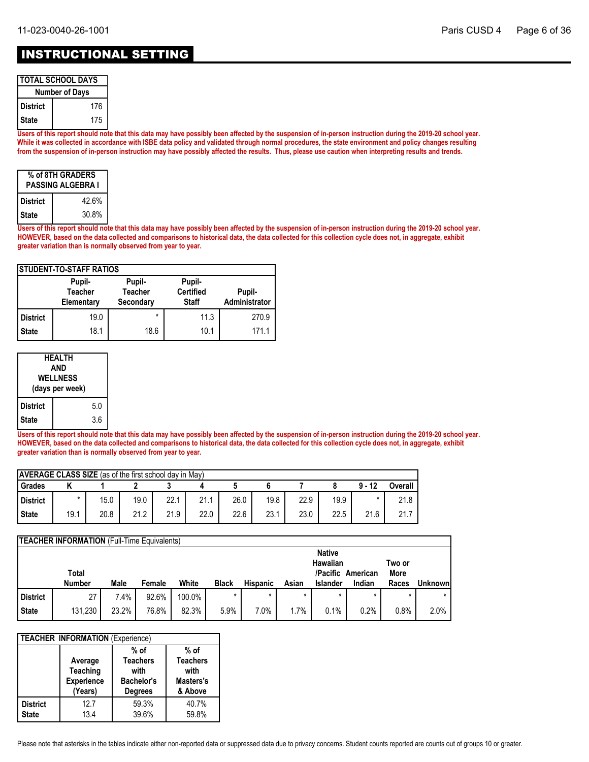### INSTRUCTIONAL SETTING

| <b>TOTAL SCHOOL DAYS</b> |     |  |  |  |
|--------------------------|-----|--|--|--|
| <b>Number of Days</b>    |     |  |  |  |
| l District               | 176 |  |  |  |
| l State                  | 175 |  |  |  |

**Users of this report should note that this data may have possibly been affected by the suspension of in-person instruction during the 2019-20 school year. While it was collected in accordance with ISBE data policy and validated through normal procedures, the state environment and policy changes resulting from the suspension of in-person instruction may have possibly affected the results. Thus, please use caution when interpreting results and trends.**

| % of 8TH GRADERS<br><b>PASSING ALGEBRA I</b> |       |  |  |  |
|----------------------------------------------|-------|--|--|--|
| <b>District</b>                              | 42.6% |  |  |  |
| <b>State</b>                                 | 30.8% |  |  |  |

**Users of this report should note that this data may have possibly been affected by the suspension of in-person instruction during the 2019-20 school year. HOWEVER, based on the data collected and comparisons to historical data, the data collected for this collection cycle does not, in aggregate, exhibit greater variation than is normally observed from year to year.**

| <b>ISTUDENT-TO-STAFF RATIOS</b> |                                        |                                       |                                            |                         |  |  |  |  |
|---------------------------------|----------------------------------------|---------------------------------------|--------------------------------------------|-------------------------|--|--|--|--|
|                                 | Pupil-<br><b>Teacher</b><br>Elementary | Pupil-<br><b>Teacher</b><br>Secondary | Pupil-<br><b>Certified</b><br><b>Staff</b> | Pupil-<br>Administrator |  |  |  |  |
| <b>District</b>                 | 19.0                                   | $\star$                               | 11.3                                       | 270.9                   |  |  |  |  |
| <b>State</b>                    | 18.1                                   | 18.6                                  | 10.1                                       | 171.1                   |  |  |  |  |

| HEALTH<br>AND<br>WELLNESS<br>(days per week) |  |     |  |
|----------------------------------------------|--|-----|--|
| <b>District</b>                              |  | 5.0 |  |
| <b>State</b>                                 |  | 3.6 |  |

**Users of this report should note that this data may have possibly been affected by the suspension of in-person instruction during the 2019-20 school year. HOWEVER, based on the data collected and comparisons to historical data, the data collected for this collection cycle does not, in aggregate, exhibit greater variation than is normally observed from year to year.**

| <b>AVERAGE CLASS SIZE</b> (as of the first school day in May) |      |      |      |      |      |      |      |      |      |          |         |
|---------------------------------------------------------------|------|------|------|------|------|------|------|------|------|----------|---------|
| Grades                                                        |      |      |      |      |      |      |      |      |      | $9 - 12$ | Overall |
| District                                                      |      | 15.0 | 19.0 | 22.1 | 21.1 | 26.0 | 19.8 | 22.9 | 19.9 |          | 21.8    |
| <b>State</b>                                                  | 19.1 | 20.8 | 21.2 | 21.9 | 22.0 | 22.6 | 23.1 | 23.0 | 22.5 | 21.6     | 21.7    |

|                 | <b>TEACHER INFORMATION</b> (Full-Time Equivalents) |       |        |        |              |                 |       |                           |                   |                |                |
|-----------------|----------------------------------------------------|-------|--------|--------|--------------|-----------------|-------|---------------------------|-------------------|----------------|----------------|
|                 | Total                                              |       |        |        |              |                 |       | <b>Native</b><br>Hawaiian | /Pacific American | Two or<br>More |                |
|                 | <b>Number</b>                                      | Male  | Female | White  | <b>Black</b> | <b>Hispanic</b> | Asian | <b>Islander</b>           | Indian            | Races          | <b>Unknown</b> |
| <b>District</b> | 27                                                 | 7.4%  | 92.6%  | 100.0% |              |                 |       |                           |                   | $\star$        |                |
| <b>State</b>    | 131,230                                            | 23.2% | 76.8%  | 82.3%  | 5.9%         | 7.0%            | 1.7%  | 0.1%                      | 0.2%              | 0.8%           | 2.0%           |

| <b>TEACHER INFORMATION (Experience)</b> |                                                            |                                                                          |                                                           |  |  |  |  |
|-----------------------------------------|------------------------------------------------------------|--------------------------------------------------------------------------|-----------------------------------------------------------|--|--|--|--|
|                                         | Average<br><b>Teaching</b><br><b>Experience</b><br>(Years) | $%$ of<br><b>Teachers</b><br>with<br><b>Bachelor's</b><br><b>Degrees</b> | $%$ of<br><b>Teachers</b><br>with<br>Masters's<br>& Above |  |  |  |  |
| <b>District</b><br><b>State</b>         | 12.7<br>13.4                                               | 59.3%<br>39.6%                                                           | 40.7%<br>59.8%                                            |  |  |  |  |

Please note that asterisks in the tables indicate either non-reported data or suppressed data due to privacy concerns. Student counts reported are counts out of groups 10 or greater.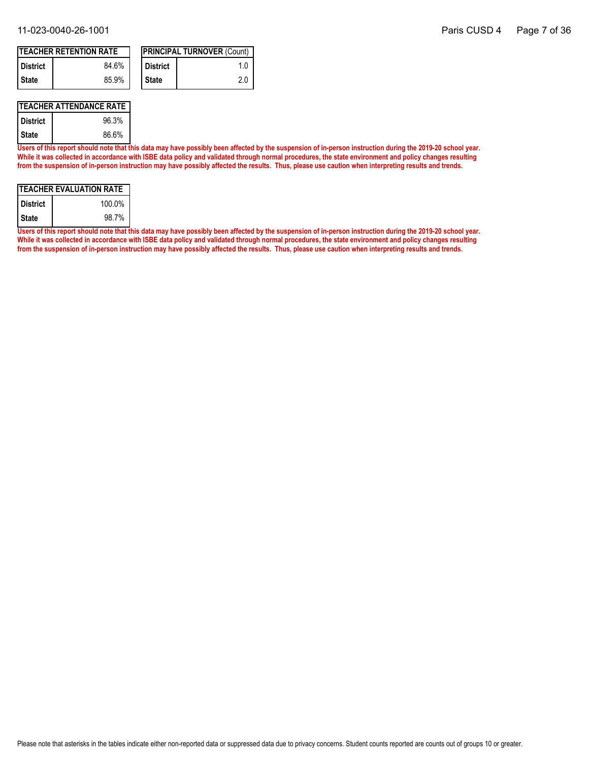| <b>ITEACHER RETENTION RATE</b> |       |  |                       | <b>IPRINCIPAL TURNOVER (Count)</b> |
|--------------------------------|-------|--|-----------------------|------------------------------------|
| <b>I</b> District              | 84.6% |  | <sup>I</sup> District |                                    |
| <b>State</b>                   | 85.9% |  | <b>State</b>          | 2.0                                |

### **TEACHER ATTENDANCE RATE**

| District | 96.3% |
|----------|-------|
| State    | 86.6% |

**Users of this report should note that this data may have possibly been affected by the suspension of in-person instruction during the 2019-20 school year. While it was collected in accordance with ISBE data policy and validated through normal procedures, the state environment and policy changes resulting from the suspension of in-person instruction may have possibly affected the results. Thus, please use caution when interpreting results and trends.**

| ITEACHER EVALUATION RATE |        |  |  |  |
|--------------------------|--------|--|--|--|
| <b>District</b>          | 100.0% |  |  |  |
| <b>State</b>             | 98.7%  |  |  |  |

**Users of this report should note that this data may have possibly been affected by the suspension of in-person instruction during the 2019-20 school year. While it was collected in accordance with ISBE data policy and validated through normal procedures, the state environment and policy changes resulting from the suspension of in-person instruction may have possibly affected the results. Thus, please use caution when interpreting results and trends.**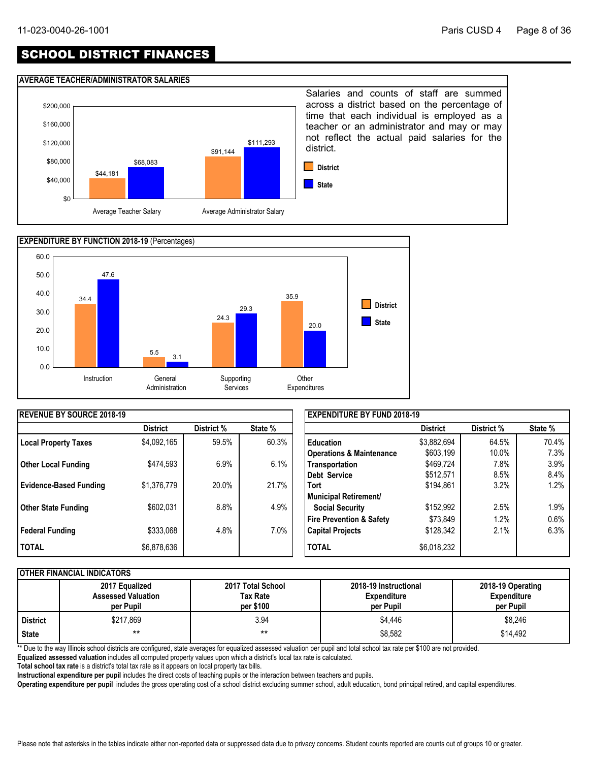## SCHOOL DISTRICT FINANCES

### **AVERAGE TEACHER/ADMINISTRATOR SALARIES**





| <b>IREVENUE BY SOURCE 2018-19</b> |                 |            |         | <b>EXPENDITURE BY FUND 2018-19</b>  |                 |            |         |
|-----------------------------------|-----------------|------------|---------|-------------------------------------|-----------------|------------|---------|
|                                   | <b>District</b> | District % | State % |                                     | <b>District</b> | District % | State % |
| Local Property Taxes              | \$4,092,165     | 59.5%      | 60.3%   | <b>Education</b>                    | \$3,882,694     | 64.5%      | 70.4%   |
|                                   |                 |            |         | <b>Operations &amp; Maintenance</b> | \$603,199       | 10.0%      | $7.3\%$ |
| <b>Other Local Funding</b>        | \$474,593       | 6.9%       | 6.1%    | Transportation                      | \$469,724       | 7.8%       | 3.9%    |
|                                   |                 |            |         | Debt Service                        | \$512,571       | 8.5%       | 8.4%    |
| <b>Evidence-Based Funding</b>     | \$1,376,779     | 20.0%      | 21.7%   | <b>Tort</b>                         | \$194,861       | 3.2%       | 1.2%    |
|                                   |                 |            |         | Municipal Retirement/               |                 |            |         |
| <b>Other State Funding</b>        | \$602,031       | 8.8%       | 4.9%    | <b>Social Security</b>              | \$152,992       | 2.5%       | 1.9%    |
|                                   |                 |            |         | <b>Fire Prevention &amp; Safety</b> | \$73,849        | 1.2%       | 0.6%    |
| <b>Federal Funding</b>            | \$333,068       | 4.8%       | 7.0%    | <b>Capital Projects</b>             | \$128,342       | 2.1%       | 6.3%    |
| <b>TOTAL</b>                      | \$6,878,636     |            |         | <b>TOTAL</b>                        | \$6,018,232     |            |         |

### **OTHER FINANCIAL INDICATORS**

|                 | 2017 Equalized<br><b>Assessed Valuation</b><br>per Pupil | 2017 Total School<br>Tax Rate<br>per \$100 | 2018-19 Instructional<br><b>Expenditure</b><br>per Pupil | 2018-19 Operating<br><b>Expenditure</b><br>per Pupil |
|-----------------|----------------------------------------------------------|--------------------------------------------|----------------------------------------------------------|------------------------------------------------------|
| <b>District</b> | \$217.869                                                | 3.94                                       | \$4,446                                                  | \$8,246                                              |
| <b>State</b>    | $***$                                                    | $***$                                      | \$8,582                                                  | \$14,492                                             |

\*\* Due to the way Illinois school districts are configured, state averages for equalized assessed valuation per pupil and total school tax rate per \$100 are not provided.

**Equalized assessed valuation** includes all computed property values upon which a district's local tax rate is calculated.

**Total school tax rate** is a district's total tax rate as it appears on local property tax bills.

**Instructional expenditure per pupil** includes the direct costs of teaching pupils or the interaction between teachers and pupils.

**Operating expenditure per pupil** includes the gross operating cost of a school district excluding summer school, adult education, bond principal retired, and capital expenditures.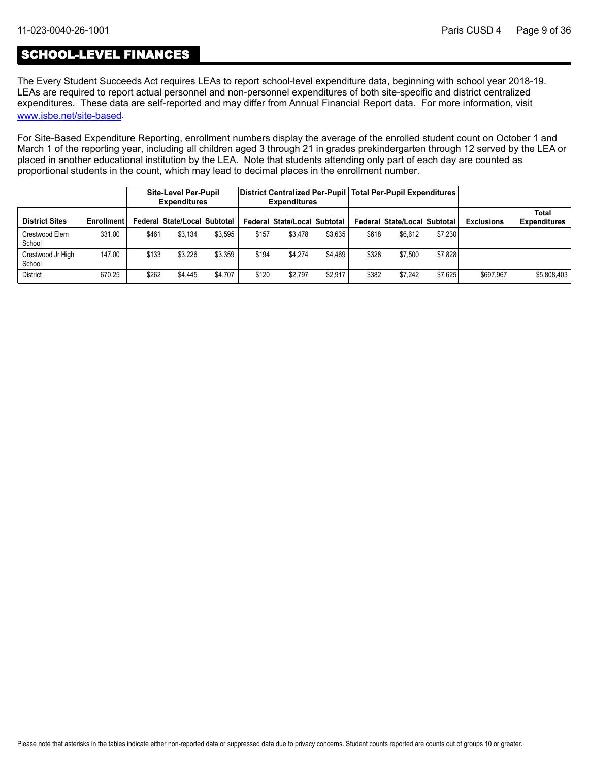### SCHOOL-LEVEL FINANCES

The Every Student Succeeds Act requires LEAs to report school-level expenditure data, beginning with school year 2018-19. LEAs are required to report actual personnel and non-personnel expenditures of both site-specific and district centralized expenditures. These data are self-reported and may differ from Annual Financial Report data. For more information, visit [www.isbe.net/site-based](https://www.isbe.net/site-based).

For Site-Based Expenditure Reporting, enrollment numbers display the average of the enrolled student count on October 1 and March 1 of the reporting year, including all children aged 3 through 21 in grades prekindergarten through 12 served by the LEA or placed in another educational institution by the LEA. Note that students attending only part of each day are counted as proportional students in the count, which may lead to decimal places in the enrollment number.

|                             |                   |       | <b>Site-Level Per-Pupil</b><br><b>Expenditures</b> |         |       | <b>Expenditures</b>          |         |       | District Centralized Per-Pupil   Total Per-Pupil Expenditures |         |                   |                              |
|-----------------------------|-------------------|-------|----------------------------------------------------|---------|-------|------------------------------|---------|-------|---------------------------------------------------------------|---------|-------------------|------------------------------|
| <b>District Sites</b>       | <b>Enrollment</b> |       | Federal State/Local Subtotal I                     |         |       | Federal State/Local Subtotal |         |       | Federal State/Local Subtotal                                  |         | <b>Exclusions</b> | Total<br><b>Expenditures</b> |
| Crestwood Elem<br>School    | 331.00            | \$461 | \$3.134                                            | \$3.595 | \$157 | \$3.478                      | \$3.635 | \$618 | \$6.612                                                       | \$7,230 |                   |                              |
| Crestwood Jr High<br>School | 147.00            | \$133 | \$3,226                                            | \$3,359 | \$194 | \$4.274                      | \$4,469 | \$328 | \$7,500                                                       | \$7,828 |                   |                              |
| <b>District</b>             | 670.25            | \$262 | \$4.445                                            | \$4.707 | \$120 | \$2.797                      | \$2.917 | \$382 | \$7.242                                                       | \$7.625 | \$697.967         | \$5,808,403                  |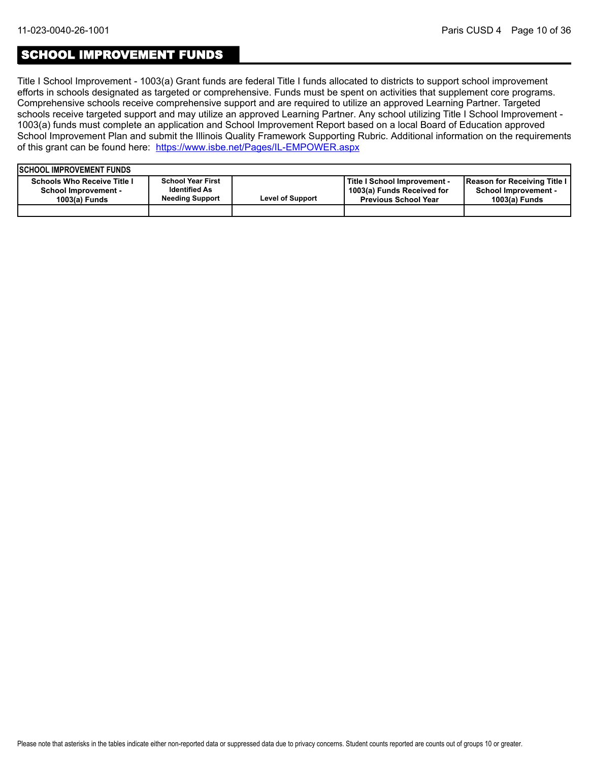### SCHOOL IMPROVEMENT FUNDS

Title I School Improvement - 1003(a) Grant funds are federal Title I funds allocated to districts to support school improvement efforts in schools designated as targeted or comprehensive. Funds must be spent on activities that supplement core programs. Comprehensive schools receive comprehensive support and are required to utilize an approved Learning Partner. Targeted schools receive targeted support and may utilize an approved Learning Partner. Any school utilizing Title I School Improvement - 1003(a) funds must complete an application and School Improvement Report based on a local Board of Education approved School Improvement Plan and submit the Illinois Quality Framework Supporting Rubric. Additional information on the requirements of this grant can be found here:<https://www.isbe.net/Pages/IL-EMPOWER.aspx>

| <b>ISCHOOL IMPROVEMENT FUNDS</b>                                                     |                                                                            |                         |                                                                                           |                                                                              |
|--------------------------------------------------------------------------------------|----------------------------------------------------------------------------|-------------------------|-------------------------------------------------------------------------------------------|------------------------------------------------------------------------------|
| <b>Schools Who Receive Title I</b><br><b>School Improvement -</b><br>$1003(a)$ Funds | <b>School Year First</b><br><b>Identified As</b><br><b>Needing Support</b> | <b>Level of Support</b> | Title I School Improvement -<br>1003(a) Funds Received for<br><b>Previous School Year</b> | Reason for Receiving Title I<br><b>School Improvement -</b><br>1003(a) Funds |
|                                                                                      |                                                                            |                         |                                                                                           |                                                                              |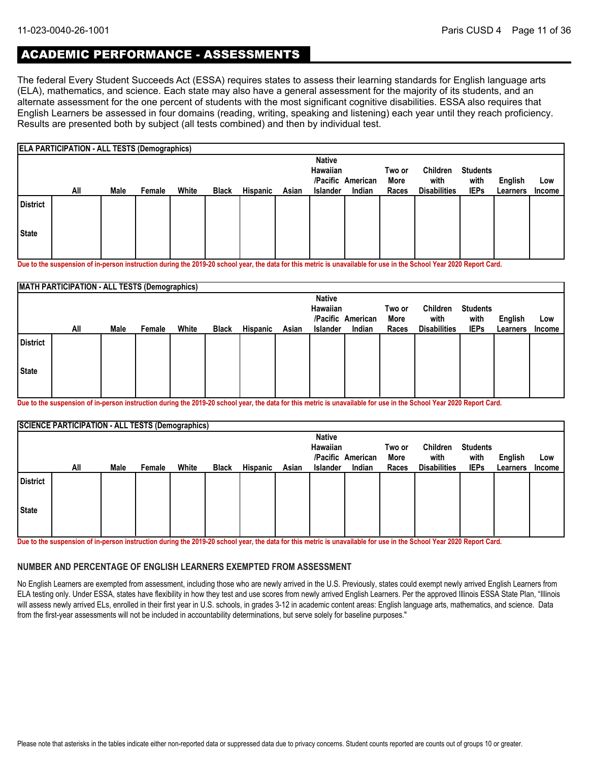### ACADEMIC PERFORMANCE - ASSESSMENTS

The federal Every Student Succeeds Act (ESSA) requires states to assess their learning standards for English language arts (ELA), mathematics, and science. Each state may also have a general assessment for the majority of its students, and an alternate assessment for the one percent of students with the most significant cognitive disabilities. ESSA also requires that English Learners be assessed in four domains (reading, writing, speaking and listening) each year until they reach proficiency. Results are presented both by subject (all tests combined) and then by individual test.

|                 | <b>ELA PARTICIPATION - ALL TESTS (Demographics)</b> |      |        |       |              |          |       |                 |                   |        |                     |                 |          |        |
|-----------------|-----------------------------------------------------|------|--------|-------|--------------|----------|-------|-----------------|-------------------|--------|---------------------|-----------------|----------|--------|
|                 |                                                     |      |        |       |              |          |       | <b>Native</b>   |                   |        |                     |                 |          |        |
|                 |                                                     |      |        |       |              |          |       | Hawaiian        |                   | Two or | Children            | <b>Students</b> |          |        |
|                 |                                                     |      |        |       |              |          |       |                 | /Pacific American | More   | with                | with            | English  | Low    |
|                 | All                                                 | Male | Female | White | <b>Black</b> | Hispanic | Asian | <b>Islander</b> | Indian            | Races  | <b>Disabilities</b> | <b>IEPs</b>     | Learners | Income |
| <b>District</b> |                                                     |      |        |       |              |          |       |                 |                   |        |                     |                 |          |        |
| <b>State</b>    |                                                     |      |        |       |              |          |       |                 |                   |        |                     |                 |          |        |
|                 |                                                     |      |        |       |              |          |       |                 |                   |        |                     |                 |          |        |

**Due to the suspension of in-person instruction during the 2019-20 school year, the data for this metric is unavailable for use in the School Year 2020 Report Card.**

|                 | <b>MATH PARTICIPATION - ALL TESTS (Demographics)</b> |      |        |       |              |          |       |                 |                   |        |                     |                 |          |               |
|-----------------|------------------------------------------------------|------|--------|-------|--------------|----------|-------|-----------------|-------------------|--------|---------------------|-----------------|----------|---------------|
|                 |                                                      |      |        |       |              |          |       | <b>Native</b>   |                   |        |                     |                 |          |               |
|                 |                                                      |      |        |       |              |          |       | Hawaiian        |                   | Two or | Children            | <b>Students</b> |          |               |
|                 |                                                      |      |        |       |              |          |       |                 | /Pacific American | More   | with                | with            | English  | Low           |
|                 | All                                                  | Male | Female | White | <b>Black</b> | Hispanic | Asian | <b>Islander</b> | Indian            | Races  | <b>Disabilities</b> | <b>IEPs</b>     | Learners | <b>Income</b> |
| <b>District</b> |                                                      |      |        |       |              |          |       |                 |                   |        |                     |                 |          |               |
| State           |                                                      |      |        |       |              |          |       |                 |                   |        |                     |                 |          |               |

**Due to the suspension of in-person instruction during the 2019-20 school year, the data for this metric is unavailable for use in the School Year 2020 Report Card.**

|                 | <b>SCIENCE PARTICIPATION - ALL TESTS (Demographics)</b> |      |        |       |              |                 |       |                 |                   |        |                     |                 |          |               |
|-----------------|---------------------------------------------------------|------|--------|-------|--------------|-----------------|-------|-----------------|-------------------|--------|---------------------|-----------------|----------|---------------|
|                 |                                                         |      |        |       |              |                 |       | <b>Native</b>   |                   |        |                     |                 |          |               |
|                 |                                                         |      |        |       |              |                 |       | Hawaiian        |                   | Two or | Children            | <b>Students</b> |          |               |
|                 |                                                         |      |        |       |              |                 |       |                 | /Pacific American | More   | with                | with            | English  | Low           |
|                 | All                                                     | Male | Female | White | <b>Black</b> | <b>Hispanic</b> | Asian | <b>Islander</b> | Indian            | Races  | <b>Disabilities</b> | <b>IEPs</b>     | Learners | <b>Income</b> |
| <b>District</b> |                                                         |      |        |       |              |                 |       |                 |                   |        |                     |                 |          |               |
| <b>State</b>    |                                                         |      |        |       |              |                 |       |                 |                   |        |                     |                 |          |               |
|                 |                                                         |      |        |       |              |                 |       |                 |                   |        |                     |                 |          |               |

**Due to the suspension of in-person instruction during the 2019-20 school year, the data for this metric is unavailable for use in the School Year 2020 Report Card.**

#### **NUMBER AND PERCENTAGE OF ENGLISH LEARNERS EXEMPTED FROM ASSESSMENT**

No English Learners are exempted from assessment, including those who are newly arrived in the U.S. Previously, states could exempt newly arrived English Learners from ELA testing only. Under ESSA, states have flexibility in how they test and use scores from newly arrived English Learners. Per the approved Illinois ESSA State Plan, "Illinois will assess newly arrived ELs, enrolled in their first year in U.S. schools, in grades 3-12 in academic content areas: English language arts, mathematics, and science. Data from the first-year assessments will not be included in accountability determinations, but serve solely for baseline purposes."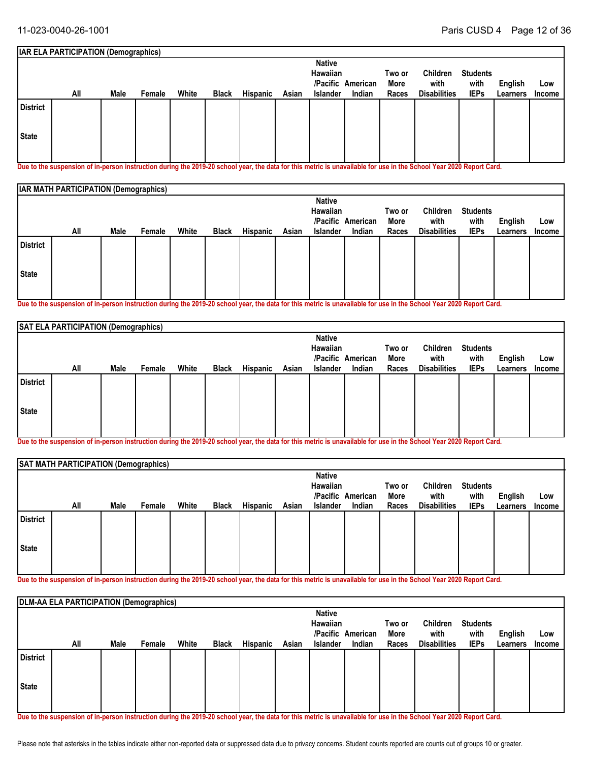#### **Students with IEPs Two or More All Races English** White Black Hispanic Asian Islander Indian Races Disabilities IEPs Learners Income **Low IAR ELA PARTICIPATION (Demographics) American /Pacific Indian Native Hawaiian Male Female White Black Hispanic Asian Islander Children with Disabilities State District**

**Due to the suspension of in-person instruction during the 2019-20 school year, the data for this metric is unavailable for use in the School Year 2020 Report Card.**

|                 | <b>IAR MATH PARTICIPATION (Demographics)</b> |      |        |       |              |          |       |                                  |                   |                |                     |                         |          |        |
|-----------------|----------------------------------------------|------|--------|-------|--------------|----------|-------|----------------------------------|-------------------|----------------|---------------------|-------------------------|----------|--------|
|                 |                                              |      |        |       |              |          |       | <b>Native</b><br><b>Hawaiian</b> | /Pacific American | Two or<br>More | Children<br>with    | <b>Students</b><br>with | English  | Low    |
|                 | All                                          | Male | Female | White | <b>Black</b> | Hispanic | Asian | <b>Islander</b>                  | Indian            | Races          | <b>Disabilities</b> | <b>IEPs</b>             | Learners | Income |
| <b>District</b> |                                              |      |        |       |              |          |       |                                  |                   |                |                     |                         |          |        |
| State           |                                              |      |        |       |              |          |       |                                  |                   |                |                     |                         |          |        |

**Due to the suspension of in-person instruction during the 2019-20 school year, the data for this metric is unavailable for use in the School Year 2020 Report Card.**

|                 | SAT ELA PARTICIPATION (Demographics) |      |        |       |              |          |       |                           |                   |                |                     |                         |          |               |
|-----------------|--------------------------------------|------|--------|-------|--------------|----------|-------|---------------------------|-------------------|----------------|---------------------|-------------------------|----------|---------------|
|                 |                                      |      |        |       |              |          |       | <b>Native</b><br>Hawaiian | /Pacific American | Two or<br>More | Children<br>with    | <b>Students</b><br>with | English  | Low           |
|                 | All                                  | Male | Female | White | <b>Black</b> | Hispanic | Asian | Islander                  | Indian            | Races          | <b>Disabilities</b> | <b>IEPs</b>             | Learners | <b>Income</b> |
| <b>District</b> |                                      |      |        |       |              |          |       |                           |                   |                |                     |                         |          |               |
| State           |                                      |      |        |       |              |          |       |                           |                   |                |                     |                         |          |               |
|                 |                                      |      |        |       |              |          |       |                           |                   |                |                     |                         |          |               |

**Due to the suspension of in-person instruction during the 2019-20 school year, the data for this metric is unavailable for use in the School Year 2020 Report Card.**

|                 | SAT MATH PARTICIPATION (Demographics) |      |        |       |              |          |       |                                                     |                             |                         |                                                |                                        |                     |                      |
|-----------------|---------------------------------------|------|--------|-------|--------------|----------|-------|-----------------------------------------------------|-----------------------------|-------------------------|------------------------------------------------|----------------------------------------|---------------------|----------------------|
|                 | All                                   | Male | Female | White | <b>Black</b> | Hispanic | Asian | <b>Native</b><br><b>Hawaiian</b><br><b>Islander</b> | /Pacific American<br>Indian | Two or<br>More<br>Races | <b>Children</b><br>with<br><b>Disabilities</b> | <b>Students</b><br>with<br><b>IEPs</b> | English<br>Learners | Low<br><b>Income</b> |
| <b>District</b> |                                       |      |        |       |              |          |       |                                                     |                             |                         |                                                |                                        |                     |                      |
| State           |                                       |      |        |       |              |          |       |                                                     |                             |                         |                                                |                                        |                     |                      |

**Due to the suspension of in-person instruction during the 2019-20 school year, the data for this metric is unavailable for use in the School Year 2020 Report Card.**

|                 | <b>DLM-AA ELA PARTICIPATION (Demographics)</b> |      |        |       |              |          |       |               |                   |        |                     |                 |          |        |
|-----------------|------------------------------------------------|------|--------|-------|--------------|----------|-------|---------------|-------------------|--------|---------------------|-----------------|----------|--------|
|                 |                                                |      |        |       |              |          |       | <b>Native</b> |                   |        |                     |                 |          |        |
|                 |                                                |      |        |       |              |          |       | Hawaiian      |                   | Two or | Children            | <b>Students</b> |          |        |
|                 |                                                |      |        |       |              |          |       |               | /Pacific American | More   | with                | with            | English  | Low    |
|                 | All                                            | Male | Female | White | <b>Black</b> | Hispanic | Asian | Islander      | Indian            | Races  | <b>Disabilities</b> | <b>IEPs</b>     | Learners | Income |
| <b>District</b> |                                                |      |        |       |              |          |       |               |                   |        |                     |                 |          |        |
| State           |                                                |      |        |       |              |          |       |               |                   |        |                     |                 |          |        |
|                 |                                                |      |        |       |              |          |       |               |                   |        |                     |                 |          |        |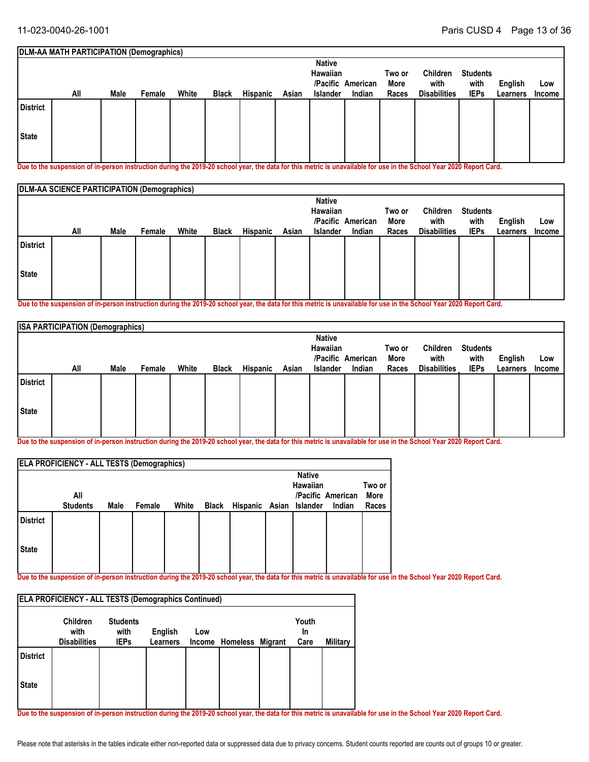|          | <b>DLM-AA MATH PARTICIPATION (Demographics)</b> |      |        |       |              |          |       |               |                   |        |                     |                 |          |               |
|----------|-------------------------------------------------|------|--------|-------|--------------|----------|-------|---------------|-------------------|--------|---------------------|-----------------|----------|---------------|
|          |                                                 |      |        |       |              |          |       | <b>Native</b> |                   |        |                     |                 |          |               |
|          |                                                 |      |        |       |              |          |       | Hawaiian      |                   | Two or | Children            | <b>Students</b> |          |               |
|          |                                                 |      |        |       |              |          |       |               | /Pacific American | More   | with                | with            | English  | Low           |
|          | All                                             | Male | Female | White | <b>Black</b> | Hispanic | Asian | Islander      | Indian            | Races  | <b>Disabilities</b> | <b>IEPs</b>     | Learners | <b>Income</b> |
| District |                                                 |      |        |       |              |          |       |               |                   |        |                     |                 |          |               |
| State    |                                                 |      |        |       |              |          |       |               |                   |        |                     |                 |          |               |
|          |                                                 |      |        |       |              |          |       |               |                   |        |                     |                 |          |               |

**Due to the suspension of in-person instruction during the 2019-20 school year, the data for this metric is unavailable for use in the School Year 2020 Report Card.**

|                 | DLM-AA SCIENCE PARTICIPATION (Demographics) |      |        |       |              |          |       |                                  |                   |        |                     |                 |          |        |
|-----------------|---------------------------------------------|------|--------|-------|--------------|----------|-------|----------------------------------|-------------------|--------|---------------------|-----------------|----------|--------|
|                 |                                             |      |        |       |              |          |       | <b>Native</b><br><b>Hawaiian</b> |                   | Two or | Children            | <b>Students</b> |          |        |
|                 |                                             |      |        |       |              |          |       |                                  | /Pacific American | More   | with                | with            | English  | Low    |
|                 | All                                         | Male | Female | White | <b>Black</b> | Hispanic | Asian | <b>Islander</b>                  | Indian            | Races  | <b>Disabilities</b> | <b>IEPs</b>     | Learners | Income |
| <b>District</b> |                                             |      |        |       |              |          |       |                                  |                   |        |                     |                 |          |        |
| State           |                                             |      |        |       |              |          |       |                                  |                   |        |                     |                 |          |        |
|                 |                                             |      |        |       |              |          |       |                                  |                   |        |                     |                 |          |        |

**Due to the suspension of in-person instruction during the 2019-20 school year, the data for this metric is unavailable for use in the School Year 2020 Report Card.**

|                 | <b>ISA PARTICIPATION (Demographics)</b> |      |        |       |              |                 |       |               |                   |        |                     |                 |                |        |
|-----------------|-----------------------------------------|------|--------|-------|--------------|-----------------|-------|---------------|-------------------|--------|---------------------|-----------------|----------------|--------|
|                 |                                         |      |        |       |              |                 |       | <b>Native</b> |                   |        |                     |                 |                |        |
|                 |                                         |      |        |       |              |                 |       | Hawaiian      |                   | Two or | Children            | <b>Students</b> |                |        |
|                 |                                         |      |        |       |              |                 |       |               | /Pacific American | More   | with                | with            | <b>English</b> | Low    |
|                 | All                                     | Male | Female | White | <b>Black</b> | <b>Hispanic</b> | Asian | Islander      | Indian            | Races  | <b>Disabilities</b> | <b>IEPs</b>     | Learners       | Income |
| <b>District</b> |                                         |      |        |       |              |                 |       |               |                   |        |                     |                 |                |        |
| State           |                                         |      |        |       |              |                 |       |               |                   |        |                     |                 |                |        |

**Due to the suspension of in-person instruction during the 2019-20 school year, the data for this metric is unavailable for use in the School Year 2020 Report Card.**

|                 | <b>ELA PROFICIENCY - ALL TESTS (Demographics)</b> |      |        |       |       |                         |                           |                   |        |
|-----------------|---------------------------------------------------|------|--------|-------|-------|-------------------------|---------------------------|-------------------|--------|
|                 |                                                   |      |        |       |       |                         | <b>Native</b><br>Hawaiian |                   | Two or |
|                 | All                                               |      |        |       |       |                         |                           | /Pacific American | More   |
|                 | <b>Students</b>                                   | Male | Female | White | Black | Hispanic Asian Islander |                           | Indian            | Races  |
| <b>District</b> |                                                   |      |        |       |       |                         |                           |                   |        |
| <b>State</b>    |                                                   |      |        |       |       |                         |                           |                   |        |
|                 |                                                   |      |        |       |       |                         |                           |                   |        |

**Due to the suspension of in-person instruction during the 2019-20 school year, the data for this metric is unavailable for use in the School Year 2020 Report Card.**

| <b>ELA PROFICIENCY - ALL TESTS (Demographics Continued)</b> |                                                |                                        |                            |     |                         |  |                     |          |  |  |  |  |
|-------------------------------------------------------------|------------------------------------------------|----------------------------------------|----------------------------|-----|-------------------------|--|---------------------|----------|--|--|--|--|
|                                                             | <b>Children</b><br>with<br><b>Disabilities</b> | <b>Students</b><br>with<br><b>IEPs</b> | English<br><b>Learners</b> | Low | Income Homeless Migrant |  | Youth<br>In<br>Care | Military |  |  |  |  |
| <b>District</b>                                             |                                                |                                        |                            |     |                         |  |                     |          |  |  |  |  |
| <b>State</b>                                                |                                                |                                        |                            |     |                         |  |                     |          |  |  |  |  |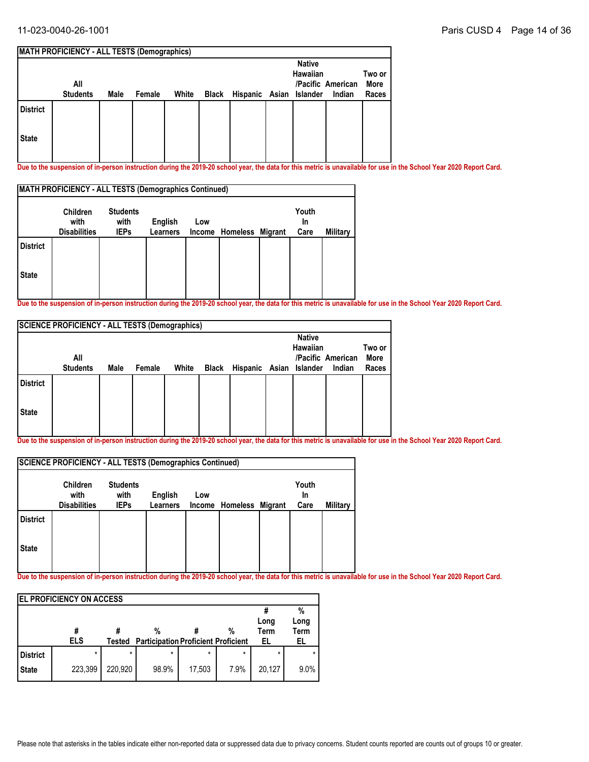|                 | <b>MATH PROFICIENCY - ALL TESTS (Demographics)</b> |      |        |       |                               |                                  |                   |        |
|-----------------|----------------------------------------------------|------|--------|-------|-------------------------------|----------------------------------|-------------------|--------|
|                 |                                                    |      |        |       |                               | <b>Native</b><br><b>Hawaiian</b> |                   | Two or |
|                 | All                                                |      |        |       |                               |                                  | /Pacific American | More   |
|                 | <b>Students</b>                                    | Male | Female | White | Black Hispanic Asian Islander |                                  | Indian            | Races  |
| <b>District</b> |                                                    |      |        |       |                               |                                  |                   |        |
| <b>State</b>    |                                                    |      |        |       |                               |                                  |                   |        |

**Due to the suspension of in-person instruction during the 2019-20 school year, the data for this metric is unavailable for use in the School Year 2020 Report Card.** 

| <b>MATH PROFICIENCY - ALL TESTS (Demographics Continued)</b> |                                         |                                        |                            |     |                         |  |                     |          |  |  |  |  |
|--------------------------------------------------------------|-----------------------------------------|----------------------------------------|----------------------------|-----|-------------------------|--|---------------------|----------|--|--|--|--|
|                                                              | Children<br>with<br><b>Disabilities</b> | <b>Students</b><br>with<br><b>IEPs</b> | English<br><b>Learners</b> | Low | Income Homeless Migrant |  | Youth<br>In<br>Care | Military |  |  |  |  |
| <b>District</b>                                              |                                         |                                        |                            |     |                         |  |                     |          |  |  |  |  |
| <b>State</b>                                                 |                                         |                                        |                            |     |                         |  |                     |          |  |  |  |  |

**Due to the suspension of in-person instruction during the 2019-20 school year, the data for this metric is unavailable for use in the School Year 2020 Report Card.**

|                 | <b>SCIENCE PROFICIENCY - ALL TESTS (Demographics)</b> |      |        |       |       |                         |                           |                   |                |
|-----------------|-------------------------------------------------------|------|--------|-------|-------|-------------------------|---------------------------|-------------------|----------------|
|                 | All                                                   |      |        |       |       |                         | <b>Native</b><br>Hawaiian | /Pacific American | Two or<br>More |
|                 | <b>Students</b>                                       | Male | Female | White | Black | Hispanic Asian Islander |                           | Indian            | Races          |
| <b>District</b> |                                                       |      |        |       |       |                         |                           |                   |                |
| <b>State</b>    |                                                       |      |        |       |       |                         |                           |                   |                |

**Due to the suspension of in-person instruction during the 2019-20 school year, the data for this metric is unavailable for use in the School Year 2020 Report Card.**

|                 | SCIENCE PROFICIENCY - ALL TESTS (Demographics Continued) |                                        |                            |               |                         |                     |          |
|-----------------|----------------------------------------------------------|----------------------------------------|----------------------------|---------------|-------------------------|---------------------|----------|
|                 | Children<br>with<br><b>Disabilities</b>                  | <b>Students</b><br>with<br><b>IEPs</b> | English<br><b>Learners</b> | Low<br>Income | <b>Homeless Migrant</b> | Youth<br>In<br>Care | Military |
| <b>District</b> |                                                          |                                        |                            |               |                         |                     |          |
| <b>State</b>    |                                                          |                                        |                            |               |                         |                     |          |

|                 | <b>IEL PROFICIENCY ON ACCESS</b> |         |                                            |         |      |         |      |
|-----------------|----------------------------------|---------|--------------------------------------------|---------|------|---------|------|
|                 |                                  |         |                                            |         |      |         | %    |
|                 |                                  |         |                                            |         |      | Long    | Long |
|                 |                                  |         | %                                          |         | %    | Term    | Term |
|                 | <b>ELS</b>                       | Tested  | <b>Participation Proficient Proficient</b> |         |      | EL      | EL   |
| <b>District</b> |                                  | $\star$ | $\star$                                    | $\star$ | *    | $\star$ |      |
| <b>State</b>    | 223,399                          | 220,920 | 98.9%                                      | 17,503  | 7.9% | 20,127  | 9.0% |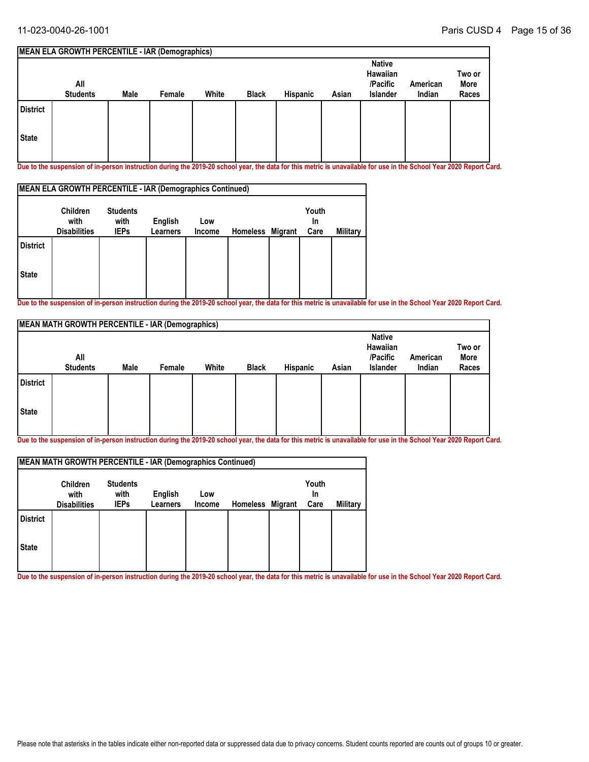#### **MEAN ELA GROWTH PERCENTILE - IAR (Demographics) All Students Native Hawaiian /Pacific Islander American Male Female White Black Hispanic Asian Indian Two or More Races State District**

**Due to the suspension of in-person instruction during the 2019-20 school year, the data for this metric is unavailable for use in the School Year 2020 Report Card.**

| MEAN ELA GROWTH PERCENTILE - IAR (Demographics Continued) |                                                |                                        |                     |               |                  |  |                     |          |  |  |  |
|-----------------------------------------------------------|------------------------------------------------|----------------------------------------|---------------------|---------------|------------------|--|---------------------|----------|--|--|--|
|                                                           | <b>Children</b><br>with<br><b>Disabilities</b> | <b>Students</b><br>with<br><b>IEPs</b> | English<br>Learners | Low<br>Income | Homeless Migrant |  | Youth<br>In<br>Care | Military |  |  |  |
| <b>District</b>                                           |                                                |                                        |                     |               |                  |  |                     |          |  |  |  |
| <b>State</b>                                              |                                                |                                        |                     |               |                  |  |                     |          |  |  |  |

**Due to the suspension of in-person instruction during the 2019-20 school year, the data for this metric is unavailable for use in the School Year 2020 Report Card.**

|                 | <b>MEAN MATH GROWTH PERCENTILE - IAR (Demographics)</b> |      |        |       |              |          |       |                                                   |                    |                         |
|-----------------|---------------------------------------------------------|------|--------|-------|--------------|----------|-------|---------------------------------------------------|--------------------|-------------------------|
|                 | All<br><b>Students</b>                                  | Male | Female | White | <b>Black</b> | Hispanic | Asian | <b>Native</b><br>Hawaiian<br>/Pacific<br>Islander | American<br>Indian | Two or<br>More<br>Races |
| <b>District</b> |                                                         |      |        |       |              |          |       |                                                   |                    |                         |
| <b>State</b>    |                                                         |      |        |       |              |          |       |                                                   |                    |                         |

**Due to the suspension of in-person instruction during the 2019-20 school year, the data for this metric is unavailable for use in the School Year 2020 Report Card.**

| MEAN MATH GROWTH PERCENTILE - IAR (Demographics Continued) |                                                |                                        |                     |               |                  |  |                     |          |  |  |  |  |
|------------------------------------------------------------|------------------------------------------------|----------------------------------------|---------------------|---------------|------------------|--|---------------------|----------|--|--|--|--|
|                                                            | <b>Children</b><br>with<br><b>Disabilities</b> | <b>Students</b><br>with<br><b>IEPs</b> | English<br>Learners | Low<br>Income | Homeless Migrant |  | Youth<br>In<br>Care | Military |  |  |  |  |
| <b>District</b>                                            |                                                |                                        |                     |               |                  |  |                     |          |  |  |  |  |
| <b>State</b>                                               |                                                |                                        |                     |               |                  |  |                     |          |  |  |  |  |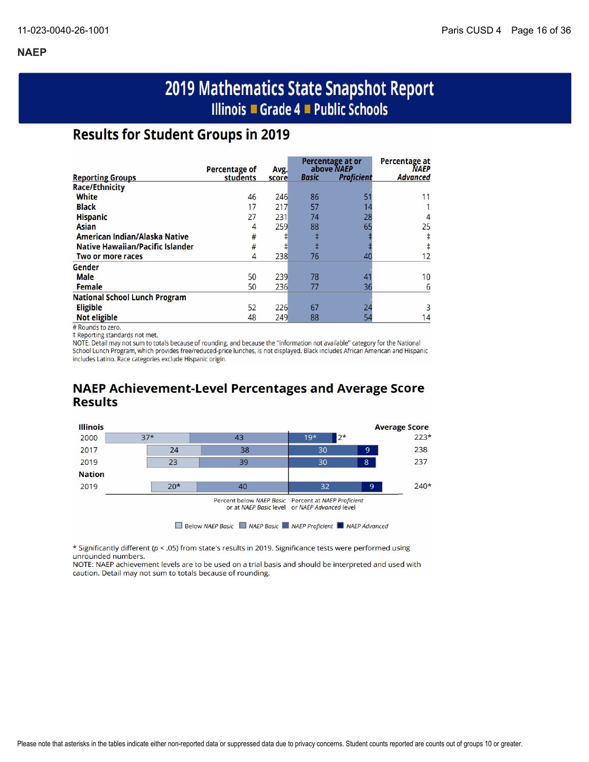# 2019 Mathematics State Snapshot Report Illinois ■ Grade 4 ■ Public Schools

# **Results for Student Groups in 2019**

|                                         | Percentage of | Avg.  |       | Percentage at or<br>above NAEP | Percentage at<br><b>NAEP</b> |
|-----------------------------------------|---------------|-------|-------|--------------------------------|------------------------------|
| <b>Reporting Groups</b>                 | students      | score | Basic | <b>Proficient</b>              | Advanced                     |
| <b>Race/Ethnicity</b>                   |               |       |       |                                |                              |
| White                                   | 46            | 246   | 86    | 51                             |                              |
| <b>Black</b>                            | 17            | 217   | 57    |                                |                              |
| <b>Hispanic</b>                         | 27            | 231   | 74    | 28                             |                              |
| <b>Asian</b>                            | 4             | 259   | 88    | 65                             | 25                           |
| American Indian/Alaska Native           | #             |       | ŧ     |                                |                              |
| <b>Native Hawaiian/Pacific Islander</b> | #             | ♯     | ŧ     |                                |                              |
| Two or more races                       | 4             | 238   | 76    | 40                             | 12                           |
| Gender                                  |               |       |       |                                |                              |
| Male                                    | 50            | 239   | 78    | 4                              | 10                           |
| <b>Female</b>                           | 50            | 236   | 77    | 36                             | 6                            |
| <b>National School Lunch Program</b>    |               |       |       |                                |                              |
| <b>Eligible</b>                         | 52            | 226   | 67    | 24                             |                              |
| <b>Not eligible</b>                     | 48            | 249   | 88    | 54                             | 14                           |

# Rounds to zero.

‡ Reporting standards not met.

NOTE: Detail may not sum to totals because of rounding, and because the "Information not available" category for the National School Lunch Program, which provides free/reduced-price lunches, is not displayed. Black includes African American and Hispanic includes Latino. Race categories exclude Hispanic origin.

# **NAEP Achievement-Level Percentages and Average Score Results**



\* Significantly different (p < .05) from state's results in 2019. Significance tests were performed using unrounded numbers.

NOTE: NAEP achievement levels are to be used on a trial basis and should be interpreted and used with caution. Detail may not sum to totals because of rounding.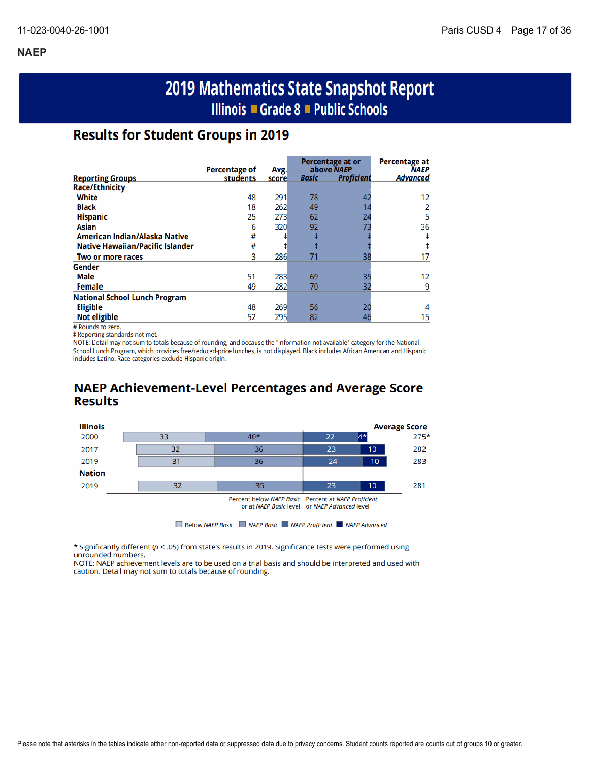# 2019 Mathematics State Snapshot Report Illinois ■ Grade 8 ■ Public Schools

# **Results for Student Groups in 2019**

|                                         | Percentage of |               |              | Percentage at or<br>above NAEP | <b>Percentage at</b><br><b>NAEP</b> |
|-----------------------------------------|---------------|---------------|--------------|--------------------------------|-------------------------------------|
| <b>Reporting Groups</b>                 | students      | Avg.<br>score | <b>Basic</b> | <b>Proficient</b>              | <b>Advanced</b>                     |
| <b>Race/Ethnicity</b>                   |               |               |              |                                |                                     |
| White                                   | 48            | 291           | 78           | 42                             | 12                                  |
| <b>Black</b>                            | 18            | 262           | 49           |                                |                                     |
| <b>Hispanic</b>                         | 25            | 273           | 62           | 24                             |                                     |
| Asian                                   | 6             | 320           | 92           | 73                             | 36                                  |
| American Indian/Alaska Native           | #             |               |              |                                |                                     |
| <b>Native Hawaiian/Pacific Islander</b> | #             |               |              |                                |                                     |
| Two or more races                       | 3             | 286           | 71           | 38                             |                                     |
| Gender                                  |               |               |              |                                |                                     |
| <b>Male</b>                             | 51            | 283           | 69           | 35                             | 12                                  |
| <b>Female</b>                           | 49            | 282           | 70           | 32                             | 9                                   |
| <b>National School Lunch Program</b>    |               |               |              |                                |                                     |
| <b>Eligible</b>                         | 48            | 269           | 56           | 20                             |                                     |
| <b>Not eligible</b>                     | 52            | 295           | 82           | 46                             | 15                                  |

# Rounds to zero.

‡ Reporting standards not met.

NOTE: Detail may not sum to totals because of rounding, and because the "Information not available" category for the National School Lunch Program, which provides free/reduced-price lunches, is not displayed. Black includes African American and Hispanic includes Latino. Race categories exclude Hispanic origin.

## **NAEP Achievement-Level Percentages and Average Score Results**



\* Significantly different ( $p <$  .05) from state's results in 2019. Significance tests were performed using unrounded numbers.

NOTE: NAEP achievement levels are to be used on a trial basis and should be interpreted and used with caution. Detail may not sum to totals because of rounding.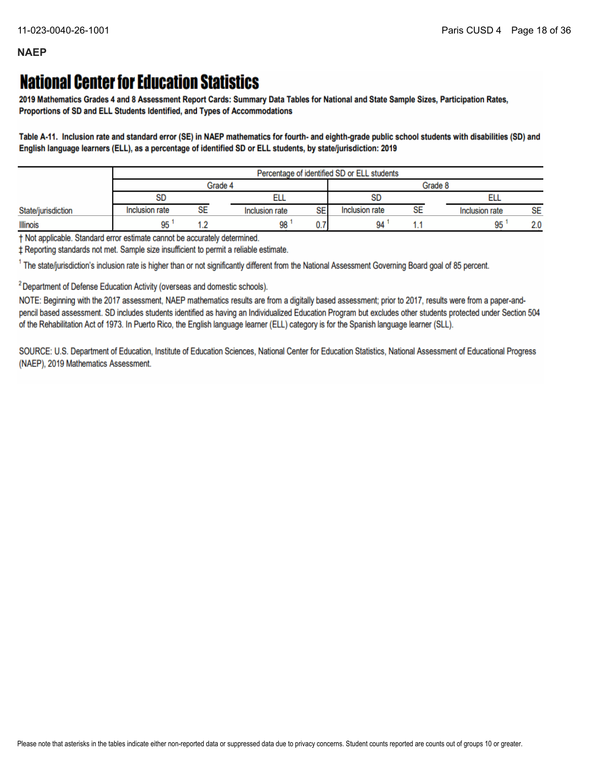# **National Center for Education Statistics**

2019 Mathematics Grades 4 and 8 Assessment Report Cards: Summary Data Tables for National and State Sample Sizes, Participation Rates, Proportions of SD and ELL Students Identified, and Types of Accommodations

Table A-11. Inclusion rate and standard error (SE) in NAEP mathematics for fourth- and eighth-grade public school students with disabilities (SD) and English language learners (ELL), as a percentage of identified SD or ELL students, by state/jurisdiction: 2019

|                    | Percentage of identified SD or ELL students |    |                      |                |    |                |           |
|--------------------|---------------------------------------------|----|----------------------|----------------|----|----------------|-----------|
|                    | Grade 4                                     |    |                      | Grade 8        |    |                |           |
|                    | <b>SD</b>                                   |    |                      | <b>SD</b>      |    |                |           |
| State/jurisdiction | Inclusion rate                              | SE | SE<br>Inclusion rate | Inclusion rate | SE | Inclusion rate | <b>SE</b> |
| <b>Illinois</b>    | 95                                          |    | 98                   | 94             |    | 95             | 2.0       |

† Not applicable. Standard error estimate cannot be accurately determined.

± Reporting standards not met. Sample size insufficient to permit a reliable estimate.

<sup>1</sup> The state/jurisdiction's inclusion rate is higher than or not significantly different from the National Assessment Governing Board goal of 85 percent.

<sup>2</sup> Department of Defense Education Activity (overseas and domestic schools).

NOTE: Beginning with the 2017 assessment, NAEP mathematics results are from a digitally based assessment; prior to 2017, results were from a paper-andpencil based assessment. SD includes students identified as having an Individualized Education Program but excludes other students protected under Section 504 of the Rehabilitation Act of 1973. In Puerto Rico, the English language learner (ELL) category is for the Spanish language learner (SLL).

SOURCE: U.S. Department of Education, Institute of Education Sciences, National Center for Education Statistics, National Assessment of Educational Progress (NAEP), 2019 Mathematics Assessment.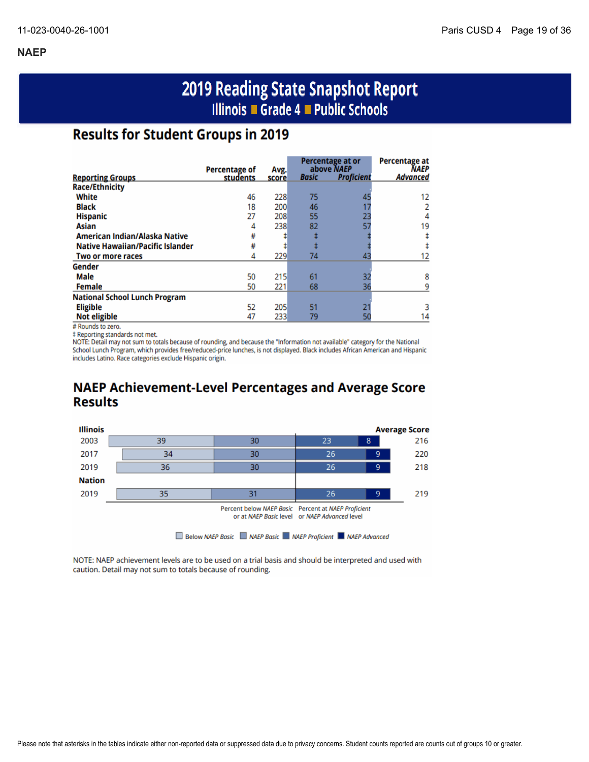# 2019 Reading State Snapshot Report Illinois ■ Grade 4 ■ Public Schools

# **Results for Student Groups in 2019**

|                                         | <b>Percentage of</b> |               |              | Percentage at or<br>above NAEP | <b>Percentage at</b><br><b>NAEP</b> |
|-----------------------------------------|----------------------|---------------|--------------|--------------------------------|-------------------------------------|
| <b>Reporting Groups</b>                 | students             | Avg.<br>score | <b>Basic</b> | <b>Proficient</b>              | <b>Advanced</b>                     |
| <b>Race/Ethnicity</b>                   |                      |               |              |                                |                                     |
| White                                   | 46                   | 228           | 75           | 45                             | 12                                  |
| <b>Black</b>                            | 18                   | 200           | 46           |                                |                                     |
| <b>Hispanic</b>                         | 27                   | 208           | 55           | 23                             | 4                                   |
| Asian                                   | 4                    | 238           | 82           | 57                             | 19                                  |
| American Indian/Alaska Native           | #                    |               |              |                                |                                     |
| <b>Native Hawaiian/Pacific Islander</b> | #                    |               |              |                                |                                     |
| Two or more races                       | 4                    | 229           | 74           | 43                             |                                     |
| Gender                                  |                      |               |              |                                |                                     |
| Male                                    | 50                   | 215           | 61           | 32                             | 8                                   |
| <b>Female</b>                           | 50                   | 221           | 68           | 36                             |                                     |
| <b>National School Lunch Program</b>    |                      |               |              |                                |                                     |
| <b>Eligible</b>                         | 52                   | 205           | 51           |                                |                                     |
| <b>Not eligible</b>                     | 47                   | 233           | 79           |                                | 14                                  |

# Rounds to zero.

‡ Reporting standards not met.

NOTE: Detail may not sum to totals because of rounding, and because the "Information not available" category for the National School Lunch Program, which provides free/reduced-price lunches, is not displayed. Black includes African American and Hispanic includes Latino. Race categories exclude Hispanic origin.

# **NAEP Achievement-Level Percentages and Average Score Results**



NOTE: NAEP achievement levels are to be used on a trial basis and should be interpreted and used with caution. Detail may not sum to totals because of rounding.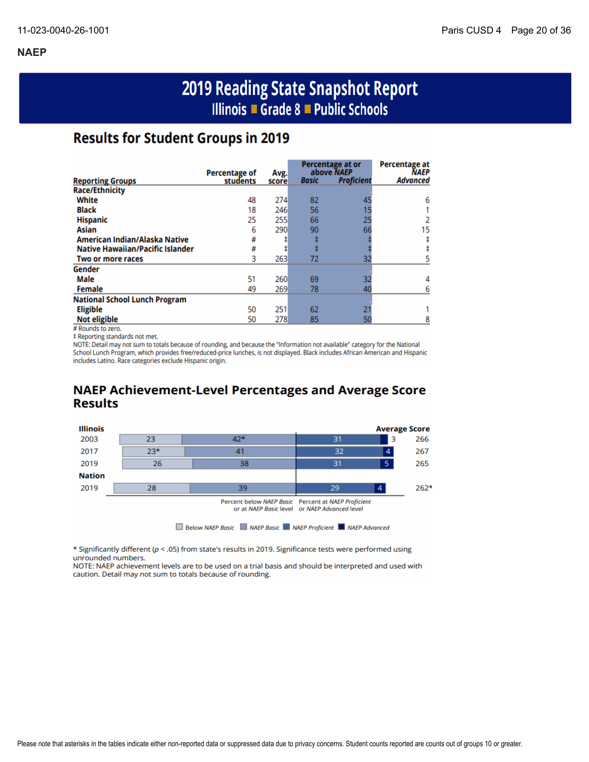# 2019 Reading State Snapshot Report Illinois ■ Grade 8 ■ Public Schools

# **Results for Student Groups in 2019**

|                                         |                                  |               |              | <b>Percentage at or</b>         | <b>Percentage at</b>           |
|-----------------------------------------|----------------------------------|---------------|--------------|---------------------------------|--------------------------------|
| <b>Reporting Groups</b>                 | <b>Percentage of</b><br>students | Avg.<br>score | <b>Basic</b> | above NAEP<br><b>Proficient</b> | <b>NAEP</b><br><b>Advanced</b> |
| <b>Race/Ethnicity</b>                   |                                  |               |              |                                 |                                |
| White                                   | 48                               | 274           | 82           | 45                              | 6                              |
| <b>Black</b>                            | 18                               | 246           | 56           |                                 |                                |
| <b>Hispanic</b>                         | 25                               | 255           | 66           | 25                              |                                |
| Asian                                   | 6                                | 290           | 90           | 66                              | 15                             |
| American Indian/Alaska Native           | #                                |               |              |                                 |                                |
| <b>Native Hawaiian/Pacific Islander</b> | #                                |               |              |                                 |                                |
| Two or more races                       | 3                                | 263           | 72           | 32                              |                                |
| Gender                                  |                                  |               |              |                                 |                                |
| <b>Male</b>                             | 51                               | 260           | 69           | 32                              |                                |
| <b>Female</b>                           | 49                               | 269           | 78           | 40                              |                                |
| <b>National School Lunch Program</b>    |                                  |               |              |                                 |                                |
| <b>Eligible</b>                         | 50                               | 251           | 62           | 21                              |                                |
| <b>Not eligible</b>                     | 50                               | 278           | 85           | 50                              |                                |

# Rounds to zero.

‡ Reporting standards not met.

NOTE: Detail may not sum to totals because of rounding, and because the "Information not available" category for the National School Lunch Program, which provides free/reduced-price lunches, is not displayed. Black includes African American and Hispanic includes Latino. Race categories exclude Hispanic origin.

## **NAEP Achievement-Level Percentages and Average Score Results**



\* Significantly different ( $p < .05$ ) from state's results in 2019. Significance tests were performed using unrounded numbers.

NOTE: NAEP achievement levels are to be used on a trial basis and should be interpreted and used with caution. Detail may not sum to totals because of rounding.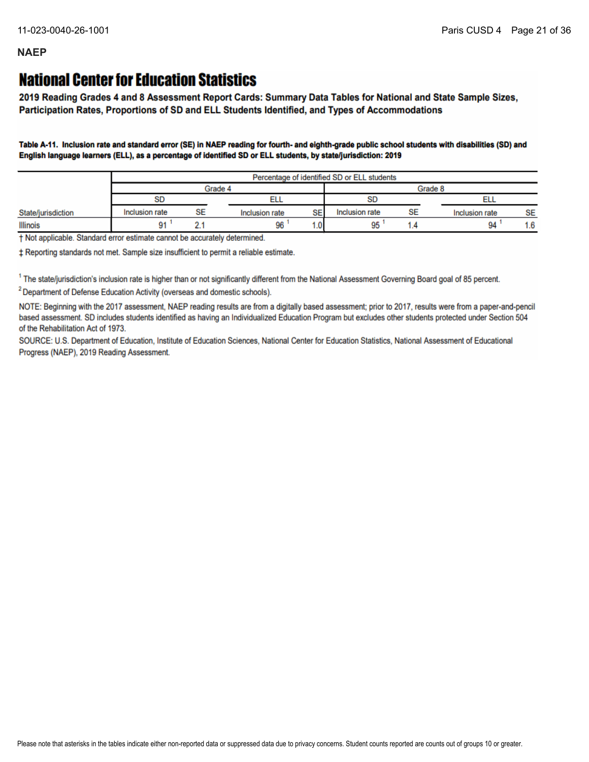# **National Center for Education Statistics**

2019 Reading Grades 4 and 8 Assessment Report Cards: Summary Data Tables for National and State Sample Sizes, Participation Rates, Proportions of SD and ELL Students Identified, and Types of Accommodations

Table A-11. Inclusion rate and standard error (SE) in NAEP reading for fourth- and eighth-grade public school students with disabilities (SD) and English language learners (ELL), as a percentage of identified SD or ELL students, by state/jurisdiction: 2019

|                    |                | Percentage of identified SD or ELL students |                |         |                |    |                |           |
|--------------------|----------------|---------------------------------------------|----------------|---------|----------------|----|----------------|-----------|
|                    | Grade 4        |                                             |                | Grade 8 |                |    |                |           |
|                    | SD             |                                             | ᄄᄔ             |         | <b>SD</b>      |    |                |           |
| State/jurisdiction | Inclusion rate | SE                                          | Inclusion rate | SE      | Inclusion rate | SE | Inclusion rate | <b>SE</b> |
| Illinois           | 91             |                                             | 96             | ∴0.     | 95             |    | 94             | 1.6       |

† Not applicable. Standard error estimate cannot be accurately determined.

± Reporting standards not met. Sample size insufficient to permit a reliable estimate.

<sup>1</sup> The state/jurisdiction's inclusion rate is higher than or not significantly different from the National Assessment Governing Board goal of 85 percent.

<sup>2</sup> Department of Defense Education Activity (overseas and domestic schools).

NOTE: Beginning with the 2017 assessment, NAEP reading results are from a digitally based assessment; prior to 2017, results were from a paper-and-pencil based assessment. SD includes students identified as having an Individualized Education Program but excludes other students protected under Section 504 of the Rehabilitation Act of 1973.

SOURCE: U.S. Department of Education, Institute of Education Sciences, National Center for Education Statistics, National Assessment of Educational Progress (NAEP), 2019 Reading Assessment.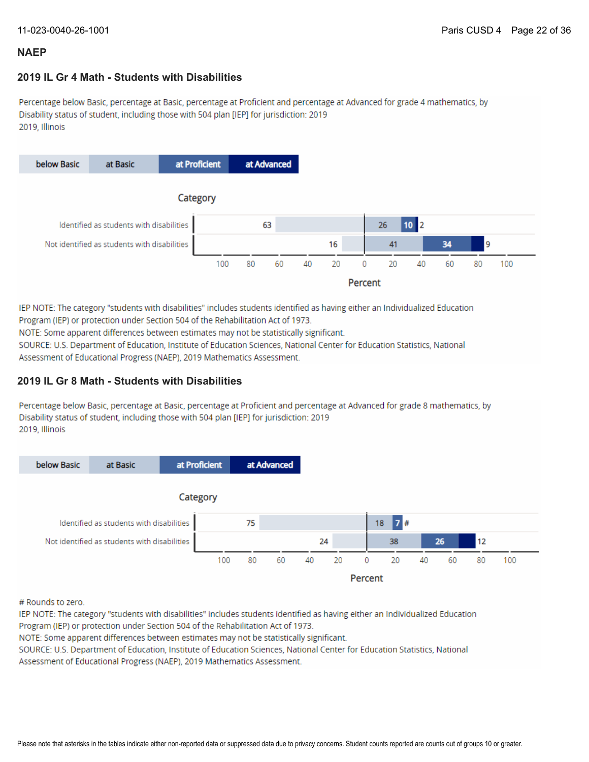### **2019 IL Gr 4 Math - Students with Disabilities**

Percentage below Basic, percentage at Basic, percentage at Proficient and percentage at Advanced for grade 4 mathematics, by Disability status of student, including those with 504 plan [IEP] for jurisdiction: 2019 2019, Illinois



IEP NOTE: The category "students with disabilities" includes students identified as having either an Individualized Education Program (IEP) or protection under Section 504 of the Rehabilitation Act of 1973.

NOTE: Some apparent differences between estimates may not be statistically significant.

SOURCE: U.S. Department of Education, Institute of Education Sciences, National Center for Education Statistics, National Assessment of Educational Progress (NAEP), 2019 Mathematics Assessment.

### **2019 IL Gr 8 Math - Students with Disabilities**

Percentage below Basic, percentage at Basic, percentage at Proficient and percentage at Advanced for grade 8 mathematics, by Disability status of student, including those with 504 plan [IEP] for jurisdiction: 2019 2019, Illinois



# Rounds to zero.

IEP NOTE: The category "students with disabilities" includes students identified as having either an Individualized Education Program (IEP) or protection under Section 504 of the Rehabilitation Act of 1973.

NOTE: Some apparent differences between estimates may not be statistically significant.

SOURCE: U.S. Department of Education, Institute of Education Sciences, National Center for Education Statistics, National Assessment of Educational Progress (NAEP), 2019 Mathematics Assessment.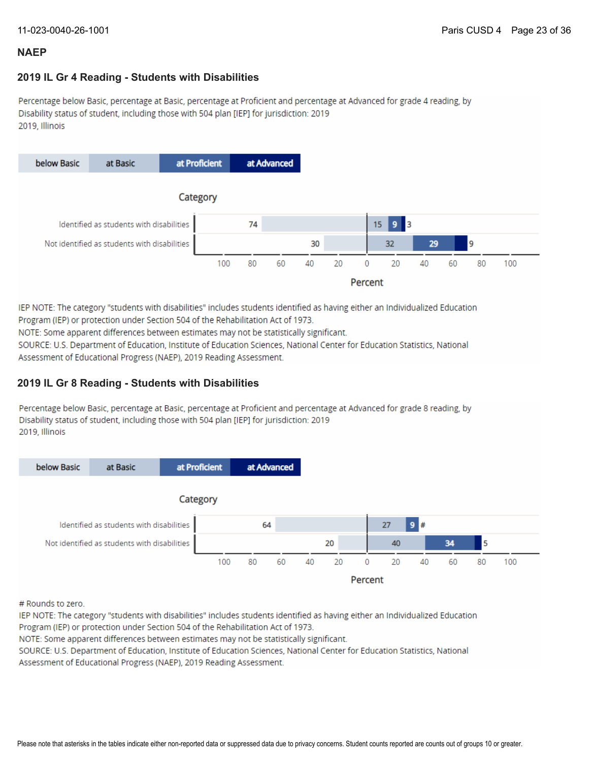### **2019 IL Gr 4 Reading - Students with Disabilities**

Percentage below Basic, percentage at Basic, percentage at Proficient and percentage at Advanced for grade 4 reading, by Disability status of student, including those with 504 plan [IEP] for jurisdiction: 2019 2019, Illinois



IEP NOTE: The category "students with disabilities" includes students identified as having either an Individualized Education Program (IEP) or protection under Section 504 of the Rehabilitation Act of 1973.

NOTE: Some apparent differences between estimates may not be statistically significant.

SOURCE: U.S. Department of Education, Institute of Education Sciences, National Center for Education Statistics, National Assessment of Educational Progress (NAEP), 2019 Reading Assessment.

### **2019 IL Gr 8 Reading - Students with Disabilities**

Percentage below Basic, percentage at Basic, percentage at Proficient and percentage at Advanced for grade 8 reading, by Disability status of student, including those with 504 plan [IEP] for jurisdiction: 2019 2019. Illinois



# Rounds to zero.

IEP NOTE: The category "students with disabilities" includes students identified as having either an Individualized Education Program (IEP) or protection under Section 504 of the Rehabilitation Act of 1973.

NOTE: Some apparent differences between estimates may not be statistically significant.

SOURCE: U.S. Department of Education, Institute of Education Sciences, National Center for Education Statistics, National Assessment of Educational Progress (NAEP), 2019 Reading Assessment.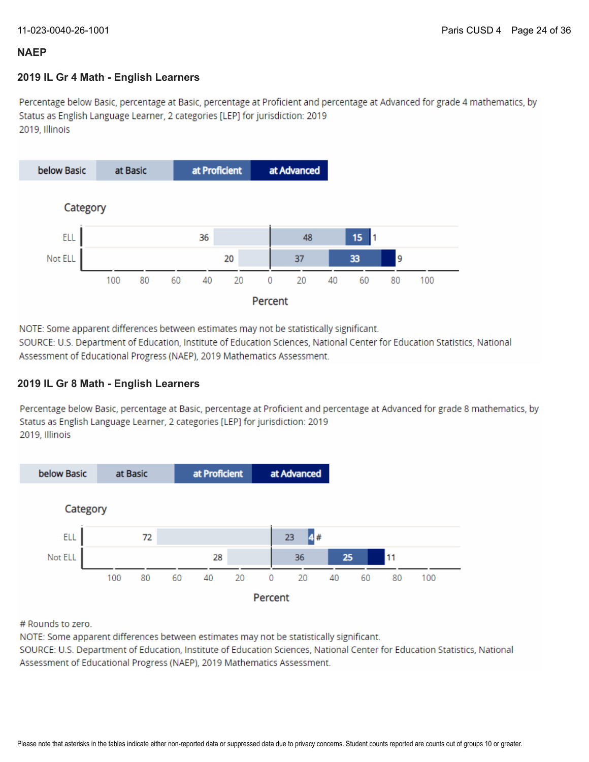### **2019 IL Gr 4 Math - English Learners**

Percentage below Basic, percentage at Basic, percentage at Proficient and percentage at Advanced for grade 4 mathematics, by Status as English Language Learner, 2 categories [LEP] for jurisdiction: 2019 2019. Illinois



NOTE: Some apparent differences between estimates may not be statistically significant.

SOURCE: U.S. Department of Education, Institute of Education Sciences, National Center for Education Statistics, National Assessment of Educational Progress (NAEP), 2019 Mathematics Assessment.

### **2019 IL Gr 8 Math - English Learners**

Percentage below Basic, percentage at Basic, percentage at Proficient and percentage at Advanced for grade 8 mathematics, by Status as English Language Learner, 2 categories [LEP] for jurisdiction: 2019 2019, Illinois



# Rounds to zero.

NOTE: Some apparent differences between estimates may not be statistically significant.

SOURCE: U.S. Department of Education, Institute of Education Sciences, National Center for Education Statistics, National Assessment of Educational Progress (NAEP), 2019 Mathematics Assessment.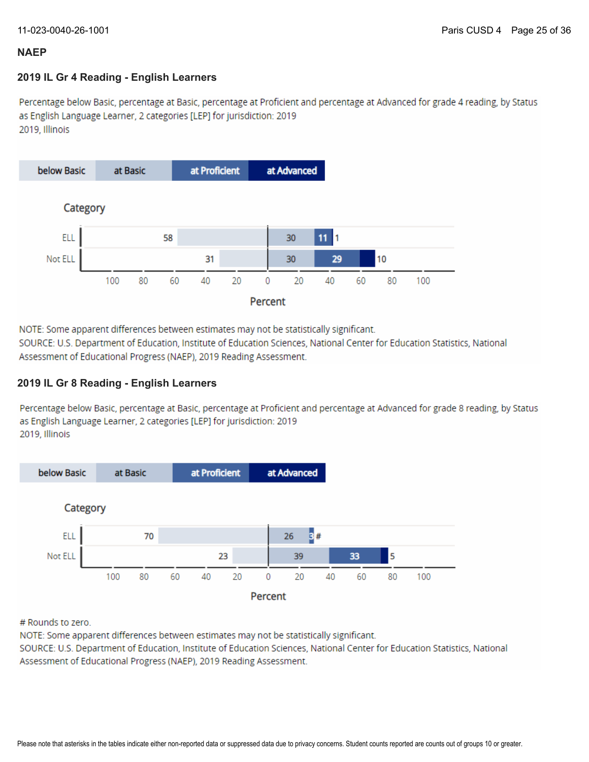### **2019 IL Gr 4 Reading - English Learners**

Percentage below Basic, percentage at Basic, percentage at Proficient and percentage at Advanced for grade 4 reading, by Status as English Language Learner, 2 categories [LEP] for jurisdiction: 2019 2019, Illinois



NOTE: Some apparent differences between estimates may not be statistically significant.

SOURCE: U.S. Department of Education, Institute of Education Sciences, National Center for Education Statistics, National Assessment of Educational Progress (NAEP), 2019 Reading Assessment.

### **2019 IL Gr 8 Reading - English Learners**

Percentage below Basic, percentage at Basic, percentage at Proficient and percentage at Advanced for grade 8 reading, by Status as English Language Learner, 2 categories [LEP] for jurisdiction: 2019 2019, Illinois



# Rounds to zero.

NOTE: Some apparent differences between estimates may not be statistically significant.

SOURCE: U.S. Department of Education, Institute of Education Sciences, National Center for Education Statistics, National Assessment of Educational Progress (NAEP), 2019 Reading Assessment.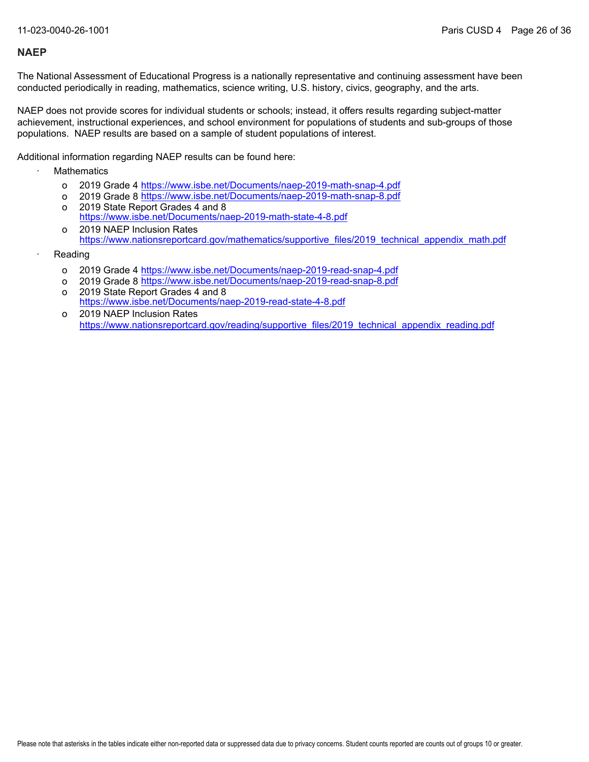The National Assessment of Educational Progress is a nationally representative and continuing assessment have been conducted periodically in reading, mathematics, science writing, U.S. history, civics, geography, and the arts.

NAEP does not provide scores for individual students or schools; instead, it offers results regarding subject-matter achievement, instructional experiences, and school environment for populations of students and sub-groups of those populations. NAEP results are based on a sample of student populations of interest.

Additional information regarding NAEP results can be found here:

- **Mathematics** 
	- o 2019 Grade 4 <u><https://www.isbe.net/Documents/naep-2019-math-snap-4.pdf></u>
	- o 2019 Grade 8 <u><https://www.isbe.net/Documents/naep-2019-math-snap-8.pdf></u>
	- o 2019 State Report Grades 4 and 8 <https://www.isbe.net/Documents/naep-2019-math-state-4-8.pdf>
	- o 2019 NAEP Inclusion Rates [https://www.nationsreportcard.gov/mathematics/supportive\\_files/2019\\_technical\\_appendix\\_math.pdf](https://www.nationsreportcard.gov/mathematics/supportive_files/2019_technical_appendix_math.pdf)
- **Reading** 
	- o 2019 Grade 4 <u><https://www.isbe.net/Documents/naep-2019-read-snap-4.pdf></u>
	- o 2019 Grade 8 <u><https://www.isbe.net/Documents/naep-2019-read-snap-8.pdf></u>
	- o 2019 State Report Grades 4 and 8 <https://www.isbe.net/Documents/naep-2019-read-state-4-8.pdf>
	- o 2019 NAEP Inclusion Rates [https://www.nationsreportcard.gov/reading/supportive\\_files/2019\\_technical\\_appendix\\_reading.pdf](https://www.nationsreportcard.gov/reading/supportive_files/2019_technical_appendix_reading.pdf)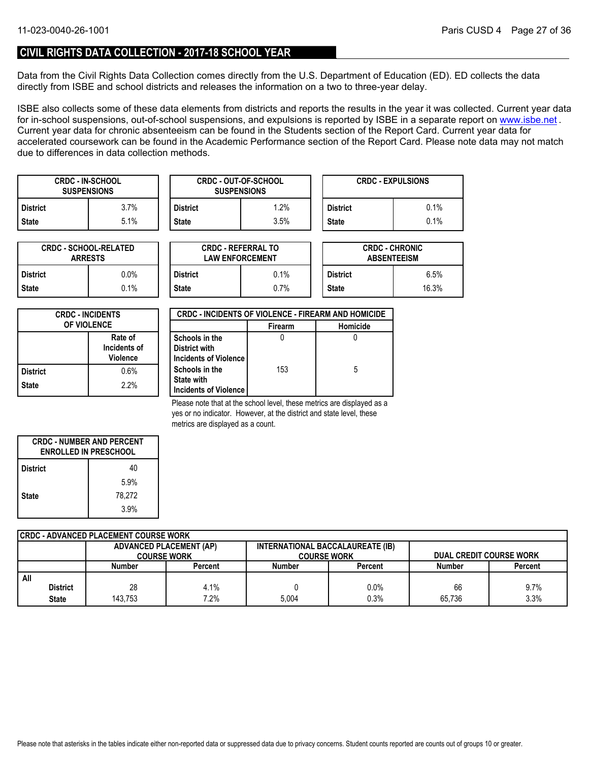### **CIVIL RIGHTS DATA COLLECTION - 2017-18 SCHOOL YEAR**

Data from the Civil Rights Data Collection comes directly from the U.S. Department of Education (ED). ED collects the data directly from ISBE and school districts and releases the information on a two to three-year delay.

ISBE also collects some of these data elements from districts and reports the results in the year it was collected. Current year data forin-school suspensions, out-of-school suspensions, and expulsions is reported by ISBE in a separate report on <u>www.isbe.net</u> . Current year data for chronic absenteeism can be found in the Students section of the Report Card. Current year data for accelerated coursework can be found in the Academic Performance section of the Report Card. Please note data may not match due to differences in data collection methods.

| <b>CRDC - IN-SCHOOL</b><br><b>SUSPENSIONS</b> |      |              | <b>CRDC - OUT-OF-SCHOOL</b><br><b>SUSPENSIONS</b> |                 | <b>CRDC - EXPULSIONS</b> |
|-----------------------------------------------|------|--------------|---------------------------------------------------|-----------------|--------------------------|
| <b>District</b>                               | 3.7% | District     | $.2\%$                                            | <b>District</b> | 0.1%                     |
| <b>State</b>                                  | 5.1% | <b>State</b> | 3.5%                                              | <b>State</b>    | 0.1%                     |

| <b>CRDC - SCHOOL-RELATED</b><br><b>ARRESTS</b> |         |  |  |
|------------------------------------------------|---------|--|--|
| <b>District</b>                                | $0.0\%$ |  |  |
| <b>State</b>                                   | $0.1\%$ |  |  |

| TED     |                 | <b>CRDC - REFERRAL TO</b><br><b>LAW ENFORCEMENT</b> |                 | <b>CRDC - CHRONIC</b><br><b>ABSENTEEISM</b> |
|---------|-----------------|-----------------------------------------------------|-----------------|---------------------------------------------|
| 0.0%    | <b>District</b> | 0.1%                                                | <b>District</b> | 6.5%                                        |
| $0.1\%$ | <b>State</b>    | 0.7%                                                | <b>State</b>    | 16.3%                                       |

| <b>CRDC - INCIDENTS</b><br><b>OF VIOLENCE</b> |                                            |  |
|-----------------------------------------------|--------------------------------------------|--|
|                                               | Rate of<br>Incidents of<br><b>Violence</b> |  |
| <b>District</b>                               | 0.6%                                       |  |
| <b>State</b>                                  | 2.2%                                       |  |

| <b>CRDC - INCIDENTS OF VIOLENCE - FIREARM AND HOMICIDE</b> |                |          |  |  |  |
|------------------------------------------------------------|----------------|----------|--|--|--|
|                                                            | <b>Firearm</b> | Homicide |  |  |  |
| Schools in the                                             |                |          |  |  |  |
| District with                                              |                |          |  |  |  |
| Incidents of Violence                                      |                |          |  |  |  |
| Schools in the                                             | 153            | 5        |  |  |  |
| <b>State with</b>                                          |                |          |  |  |  |
| Incidents of Violence                                      |                |          |  |  |  |

Please note that at the school level, these metrics are displayed as a yes or no indicator. However, at the district and state level, these metrics are displayed as a count.

| <b>CRDC - NUMBER AND PERCENT</b><br><b>ENROLLED IN PRESCHOOL</b> |        |  |  |
|------------------------------------------------------------------|--------|--|--|
| <b>District</b>                                                  | 40     |  |  |
|                                                                  | 5.9%   |  |  |
| <b>State</b>                                                     | 78,272 |  |  |
|                                                                  | 3.9%   |  |  |

|     | CRDC - ADVANCED PLACEMENT COURSE WORK |                                |         |                                  |         |                                |         |  |  |
|-----|---------------------------------------|--------------------------------|---------|----------------------------------|---------|--------------------------------|---------|--|--|
|     |                                       | <b>ADVANCED PLACEMENT (AP)</b> |         | INTERNATIONAL BACCALAUREATE (IB) |         |                                |         |  |  |
|     |                                       | <b>COURSE WORK</b>             |         | <b>COURSE WORK</b>               |         | <b>DUAL CREDIT COURSE WORK</b> |         |  |  |
|     |                                       | Number                         | Percent | <b>Number</b>                    | Percent | <b>Number</b>                  | Percent |  |  |
| All |                                       |                                |         |                                  |         |                                |         |  |  |
|     | <b>District</b>                       | 28                             | 4.1%    |                                  | 0.0%    | 66                             | $9.7\%$ |  |  |
|     | <b>State</b>                          | 143.753                        | 7.2%    | 5.004                            | 0.3%    | 65.736                         | 3.3%    |  |  |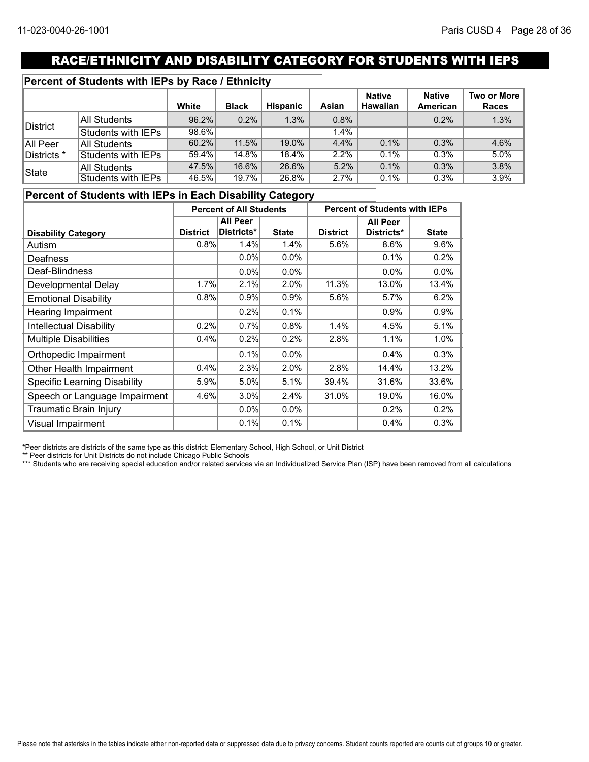# RACE/ETHNICITY AND DISABILITY CATEGORY FOR STUDENTS WITH IEPS

### **Percent of Students with IEPs by Race / Ethnicity**

|             |                     | White    | <b>Black</b> | Hispanic | Asian   | <b>Native</b><br><b>Hawaiian</b> | <b>Native</b><br>American | Two or More<br>Races |
|-------------|---------------------|----------|--------------|----------|---------|----------------------------------|---------------------------|----------------------|
|             | <b>All Students</b> | $96.2\%$ | $0.2\%$      | 1.3%     | 0.8%    |                                  | 0.2%                      | 1.3%                 |
| District    | Students with IEPs  | $98.6\%$ |              |          | $1.4\%$ |                                  |                           |                      |
| All Peer    | All Students        | 60.2%    | 11.5%        | 19.0%    | $4.4\%$ | 0.1%                             | 0.3%                      | 4.6%                 |
| Districts * | Students with IEPs  | 59.4%    | 14.8%        | 18.4%    | $2.2\%$ | 0.1%                             | 0.3%                      | 5.0%                 |
| State       | All Students        | 47.5%    | 16.6%        | 26.6%    | 5.2%    | 0.1%                             | 0.3%                      | 3.8%                 |
|             | Students with IEPs  | 46.5%    | 19.7%        | 26.8%    | 2.7%    | 0.1%                             | 0.3%                      | 3.9%                 |

### **Percent of Students with IEPs in Each Disability Category**

|                                     | <b>Percent of All Students</b> |            |              | <b>Percent of Students with IEPs</b> |            |              |
|-------------------------------------|--------------------------------|------------|--------------|--------------------------------------|------------|--------------|
|                                     | <b>All Peer</b>                |            |              | <b>All Peer</b>                      |            |              |
| <b>Disability Category</b>          | <b>District</b>                | Districts* | <b>State</b> | <b>District</b>                      | Districts* | <b>State</b> |
| Autism                              | 0.8%                           | 1.4%       | 1.4%         | 5.6%                                 | 8.6%       | 9.6%         |
| <b>Deafness</b>                     |                                | 0.0%       | 0.0%         |                                      | 0.1%       | 0.2%         |
| Deaf-Blindness                      |                                | $0.0\%$    | 0.0%         |                                      | $0.0\%$    | 0.0%         |
| Developmental Delay                 | 1.7%                           | 2.1%       | 2.0%         | 11.3%                                | 13.0%      | 13.4%        |
| <b>Emotional Disability</b>         | 0.8%                           | 0.9%       | 0.9%         | 5.6%                                 | 5.7%       | 6.2%         |
| Hearing Impairment                  |                                | 0.2%       | 0.1%         |                                      | 0.9%       | 0.9%         |
| <b>Intellectual Disability</b>      | 0.2%                           | 0.7%       | 0.8%         | 1.4%                                 | 4.5%       | 5.1%         |
| <b>Multiple Disabilities</b>        | 0.4%                           | 0.2%       | 0.2%         | 2.8%                                 | 1.1%       | 1.0%         |
| Orthopedic Impairment               |                                | 0.1%       | $0.0\%$      |                                      | 0.4%       | 0.3%         |
| Other Health Impairment             | 0.4%                           | 2.3%       | 2.0%         | 2.8%                                 | 14.4%      | 13.2%        |
| <b>Specific Learning Disability</b> | 5.9%                           | 5.0%       | 5.1%         | 39.4%                                | 31.6%      | 33.6%        |
| Speech or Language Impairment       | 4.6%                           | 3.0%       | 2.4%         | 31.0%                                | 19.0%      | 16.0%        |
| Traumatic Brain Injury              |                                | $0.0\%$    | $0.0\%$      |                                      | 0.2%       | 0.2%         |
| Visual Impairment                   |                                | 0.1%       | 0.1%         |                                      | 0.4%       | 0.3%         |

\*Peer districts are districts of the same type as this district: Elementary School, High School, or Unit District

\*\* Peer districts for Unit Districts do not include Chicago Public Schools

\*\*\* Students who are receiving special education and/or related services via an Individualized Service Plan (ISP) have been removed from all calculations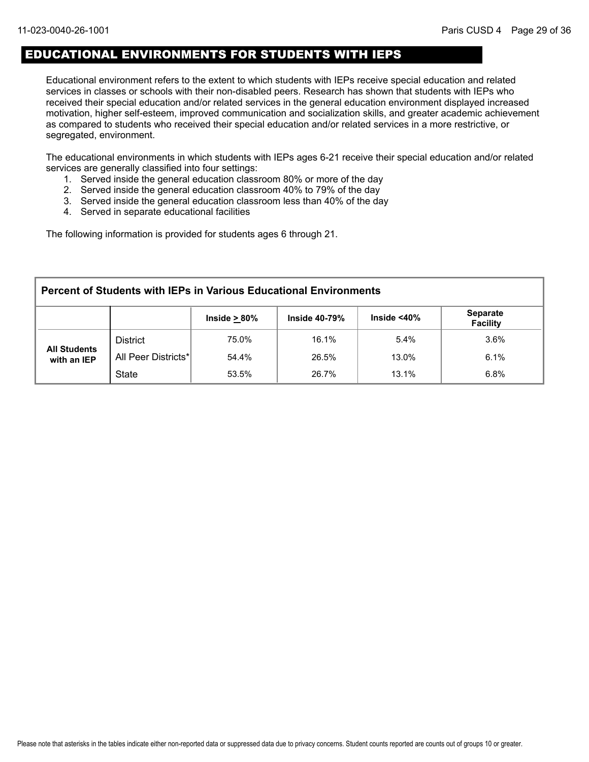### EDUCATIONAL ENVIRONMENTS FOR STUDENTS WITH IEPS

Educational environment refers to the extent to which students with IEPs receive special education and related services in classes or schools with their non-disabled peers. Research has shown that students with IEPs who received their special education and/or related services in the general education environment displayed increased motivation, higher self-esteem, improved communication and socialization skills, and greater academic achievement as compared to students who received their special education and/or related services in a more restrictive, or segregated, environment.

The educational environments in which students with IEPs ages 6-21 receive their special education and/or related services are generally classified into four settings:

- 1. Served inside the general education classroom 80% or more of the day
- 2. Served inside the general education classroom 40% to 79% of the day
- 3. Served inside the general education classroom less than 40% of the day
- 4. Served in separate educational facilities

The following information is provided for students ages 6 through 21.

| <b>Percent of Students with IEPs in Various Educational Environments</b>                               |                                                 |       |       |       |      |  |  |  |  |  |
|--------------------------------------------------------------------------------------------------------|-------------------------------------------------|-------|-------|-------|------|--|--|--|--|--|
| <b>Separate</b><br>Inside $<$ 40 $\%$<br>Inside $\geq 80\%$<br><b>Inside 40-79%</b><br><b>Facility</b> |                                                 |       |       |       |      |  |  |  |  |  |
|                                                                                                        | <b>District</b>                                 | 75.0% | 16.1% | 5.4%  | 3.6% |  |  |  |  |  |
| <b>All Students</b><br>with an IEP                                                                     | All Peer Districts*                             | 54.4% | 26.5% | 13.0% | 6.1% |  |  |  |  |  |
|                                                                                                        | <b>State</b><br>6.8%<br>53.5%<br>26.7%<br>13.1% |       |       |       |      |  |  |  |  |  |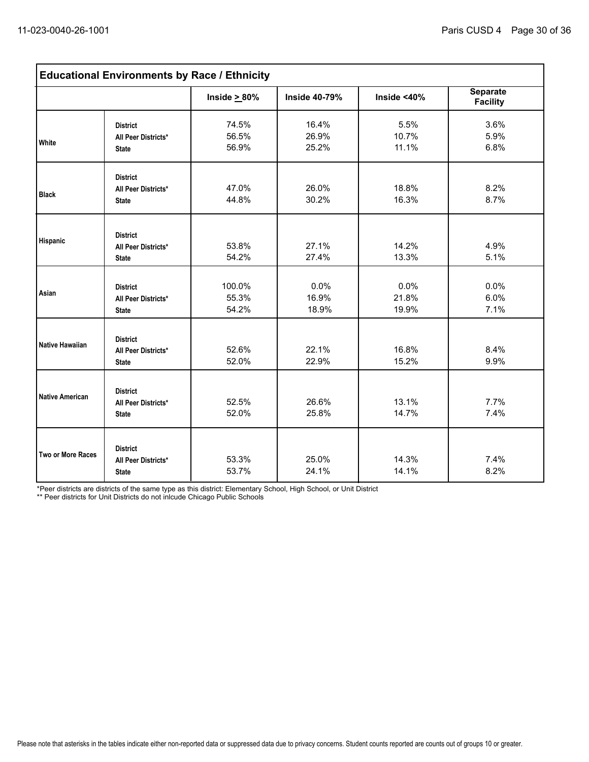| <b>Educational Environments by Race / Ethnicity</b> |                                                        |                          |                         |                        |                                    |  |  |
|-----------------------------------------------------|--------------------------------------------------------|--------------------------|-------------------------|------------------------|------------------------------------|--|--|
|                                                     |                                                        | Inside $\geq 80\%$       | <b>Inside 40-79%</b>    | Inside $<$ 40%         | <b>Separate</b><br><b>Facility</b> |  |  |
| <b>White</b>                                        | <b>District</b><br>All Peer Districts*<br><b>State</b> | 74.5%<br>56.5%<br>56.9%  | 16.4%<br>26.9%<br>25.2% | 5.5%<br>10.7%<br>11.1% | 3.6%<br>5.9%<br>6.8%               |  |  |
| <b>Black</b>                                        | <b>District</b><br>All Peer Districts*<br><b>State</b> | 47.0%<br>44.8%           | 26.0%<br>30.2%          | 18.8%<br>16.3%         | 8.2%<br>8.7%                       |  |  |
| <b>Hispanic</b>                                     | <b>District</b><br>All Peer Districts*<br><b>State</b> | 53.8%<br>54.2%           | 27.1%<br>27.4%          | 14.2%<br>13.3%         | 4.9%<br>5.1%                       |  |  |
| Asian                                               | <b>District</b><br>All Peer Districts*<br><b>State</b> | 100.0%<br>55.3%<br>54.2% | 0.0%<br>16.9%<br>18.9%  | 0.0%<br>21.8%<br>19.9% | 0.0%<br>6.0%<br>7.1%               |  |  |
| Native Hawaiian                                     | <b>District</b><br>All Peer Districts*<br><b>State</b> | 52.6%<br>52.0%           | 22.1%<br>22.9%          | 16.8%<br>15.2%         | 8.4%<br>9.9%                       |  |  |
| <b>Native American</b>                              | <b>District</b><br>All Peer Districts*<br><b>State</b> | 52.5%<br>52.0%           | 26.6%<br>25.8%          | 13.1%<br>14.7%         | 7.7%<br>7.4%                       |  |  |
| Two or More Races                                   | <b>District</b><br>All Peer Districts*<br><b>State</b> | 53.3%<br>53.7%           | 25.0%<br>24.1%          | 14.3%<br>14.1%         | 7.4%<br>8.2%                       |  |  |

\*Peer districts are districts of the same type as this district: Elementary School, High School, or Unit District

\*\* Peer districts for Unit Districts do not inlcude Chicago Public Schools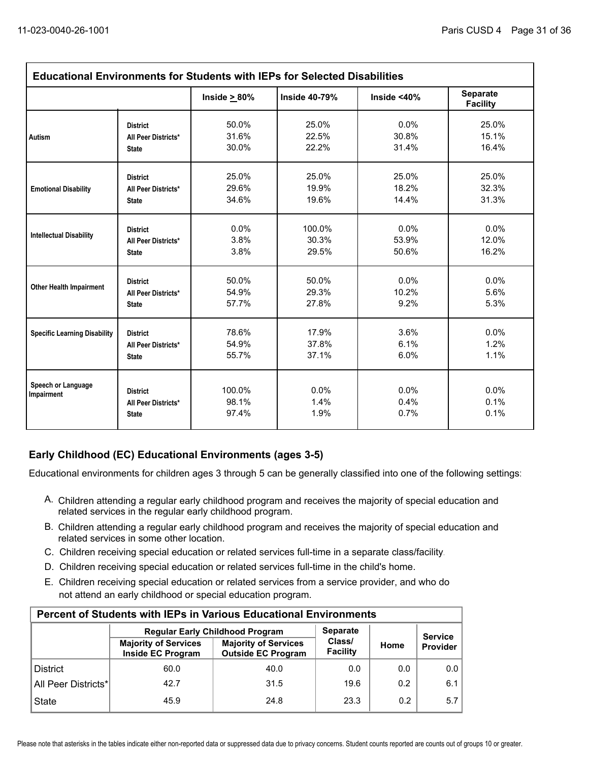| <b>Educational Environments for Students with IEPs for Selected Disabilities</b> |                                                        |                          |                      |                      |                                    |  |  |
|----------------------------------------------------------------------------------|--------------------------------------------------------|--------------------------|----------------------|----------------------|------------------------------------|--|--|
|                                                                                  |                                                        | Inside $\geq 80\%$       | Inside 40-79%        | Inside $<$ 40%       | <b>Separate</b><br><b>Facility</b> |  |  |
| <b>Autism</b>                                                                    | <b>District</b>                                        | 50.0%                    | 25.0%                | 0.0%                 | 25.0%                              |  |  |
|                                                                                  | All Peer Districts*                                    | 31.6%                    | 22.5%                | 30.8%                | 15.1%                              |  |  |
|                                                                                  | <b>State</b>                                           | 30.0%                    | 22.2%                | 31.4%                | 16.4%                              |  |  |
| <b>Emotional Disability</b>                                                      | <b>District</b>                                        | 25.0%                    | 25.0%                | 25.0%                | 25.0%                              |  |  |
|                                                                                  | All Peer Districts*                                    | 29.6%                    | 19.9%                | 18.2%                | 32.3%                              |  |  |
|                                                                                  | <b>State</b>                                           | 34.6%                    | 19.6%                | 14.4%                | 31.3%                              |  |  |
| <b>Intellectual Disability</b>                                                   | <b>District</b>                                        | 0.0%                     | 100.0%               | 0.0%                 | 0.0%                               |  |  |
|                                                                                  | All Peer Districts*                                    | 3.8%                     | 30.3%                | 53.9%                | 12.0%                              |  |  |
|                                                                                  | <b>State</b>                                           | 3.8%                     | 29.5%                | 50.6%                | 16.2%                              |  |  |
| <b>Other Health Impairment</b>                                                   | <b>District</b>                                        | 50.0%                    | 50.0%                | 0.0%                 | 0.0%                               |  |  |
|                                                                                  | All Peer Districts*                                    | 54.9%                    | 29.3%                | 10.2%                | 5.6%                               |  |  |
|                                                                                  | <b>State</b>                                           | 57.7%                    | 27.8%                | 9.2%                 | 5.3%                               |  |  |
| <b>Specific Learning Disability</b>                                              | <b>District</b>                                        | 78.6%                    | 17.9%                | 3.6%                 | $0.0\%$                            |  |  |
|                                                                                  | All Peer Districts*                                    | 54.9%                    | 37.8%                | 6.1%                 | 1.2%                               |  |  |
|                                                                                  | <b>State</b>                                           | 55.7%                    | 37.1%                | 6.0%                 | 1.1%                               |  |  |
| Speech or Language<br>Impairment                                                 | <b>District</b><br>All Peer Districts*<br><b>State</b> | 100.0%<br>98.1%<br>97.4% | 0.0%<br>1.4%<br>1.9% | 0.0%<br>0.4%<br>0.7% | 0.0%<br>0.1%<br>0.1%               |  |  |

### **Early Childhood (EC) Educational Environments (ages 3-5)**

Educational environments for children ages 3 through 5 can be generally classified into one of the following settings:

- A. Children attending a regular early childhood program and receives the majority of special education and related services in the regular early childhood program.
- B. Children attending a regular early childhood program and receives the majority of special education and related services in some other location.
- C. Children receiving special education or related services full-time in a separate class/facility.
- D. Children receiving special education or related services full-time in the child's home.
- E. Children receiving special education or related services from a service provider, and who do not attend an early childhood or special education program.

| <b>Percent of Students with IEPs in Various Educational Environments</b>    |                                                  |                                                          |                    |      |          |  |  |  |  |  |
|-----------------------------------------------------------------------------|--------------------------------------------------|----------------------------------------------------------|--------------------|------|----------|--|--|--|--|--|
| <b>Separate</b><br><b>Regular Early Childhood Program</b><br><b>Service</b> |                                                  |                                                          |                    |      |          |  |  |  |  |  |
|                                                                             | <b>Majority of Services</b><br>Inside EC Program | <b>Majority of Services</b><br><b>Outside EC Program</b> | Class/<br>Facility | Home | Provider |  |  |  |  |  |
| <b>District</b>                                                             | 60.0                                             | 40.0                                                     | 0.0                | 0.0  | 0.0      |  |  |  |  |  |
| All Peer Districts*                                                         | 42.7                                             | 31.5                                                     | 19.6               | 0.2  | 6.1      |  |  |  |  |  |
| 23.3<br>0.2<br><b>State</b><br>45.9<br>24.8                                 |                                                  |                                                          |                    |      |          |  |  |  |  |  |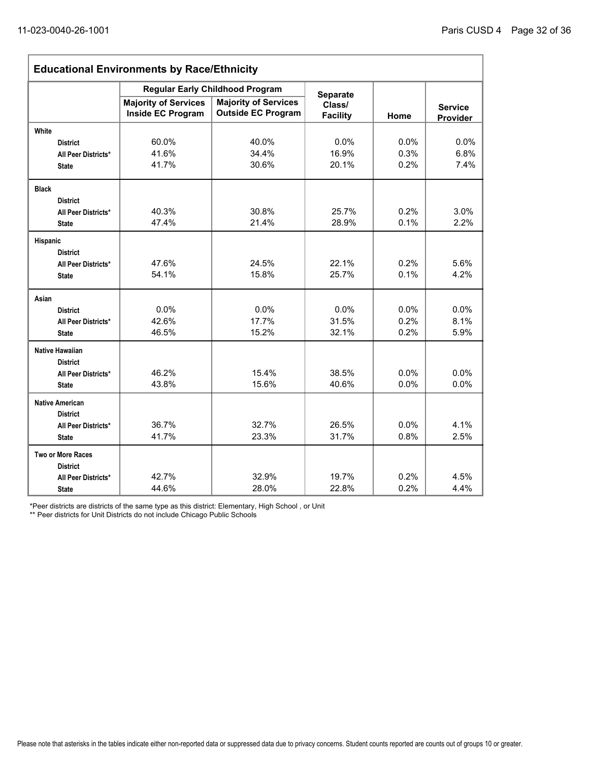| <b>Educational Environments by Race/Ethnicity</b> |                                                         |                                                          |                           |         |                            |  |  |  |
|---------------------------------------------------|---------------------------------------------------------|----------------------------------------------------------|---------------------------|---------|----------------------------|--|--|--|
|                                                   |                                                         | <b>Regular Early Childhood Program</b>                   | <b>Separate</b>           |         |                            |  |  |  |
|                                                   | <b>Majority of Services</b><br><b>Inside EC Program</b> | <b>Majority of Services</b><br><b>Outside EC Program</b> | Class/<br><b>Facility</b> | Home    | <b>Service</b><br>Provider |  |  |  |
| White                                             |                                                         |                                                          |                           |         |                            |  |  |  |
| <b>District</b>                                   | 60.0%                                                   | 40.0%                                                    | 0.0%                      | 0.0%    | 0.0%                       |  |  |  |
| All Peer Districts*                               | 41.6%                                                   | 34.4%                                                    | 16.9%                     | 0.3%    | 6.8%                       |  |  |  |
| <b>State</b>                                      | 41.7%                                                   | 30.6%                                                    | 20.1%                     | 0.2%    | 7.4%                       |  |  |  |
| <b>Black</b>                                      |                                                         |                                                          |                           |         |                            |  |  |  |
| <b>District</b>                                   |                                                         |                                                          |                           |         |                            |  |  |  |
| All Peer Districts*                               | 40.3%                                                   | 30.8%                                                    | 25.7%                     | 0.2%    | 3.0%                       |  |  |  |
| <b>State</b>                                      | 47.4%                                                   | 21.4%                                                    | 28.9%                     | 0.1%    | 2.2%                       |  |  |  |
| Hispanic                                          |                                                         |                                                          |                           |         |                            |  |  |  |
| <b>District</b>                                   |                                                         |                                                          |                           |         |                            |  |  |  |
| All Peer Districts*                               | 47.6%                                                   | 24.5%                                                    | 22.1%                     | 0.2%    | 5.6%                       |  |  |  |
| <b>State</b>                                      | 54.1%                                                   | 15.8%                                                    | 25.7%                     | 0.1%    | 4.2%                       |  |  |  |
| Asian                                             |                                                         |                                                          |                           |         |                            |  |  |  |
| <b>District</b>                                   | 0.0%                                                    | 0.0%                                                     | 0.0%                      | 0.0%    | 0.0%                       |  |  |  |
| All Peer Districts*                               | 42.6%                                                   | 17.7%                                                    | 31.5%                     | 0.2%    | 8.1%                       |  |  |  |
| <b>State</b>                                      | 46.5%                                                   | 15.2%                                                    | 32.1%                     | 0.2%    | 5.9%                       |  |  |  |
| <b>Native Hawaiian</b>                            |                                                         |                                                          |                           |         |                            |  |  |  |
| <b>District</b>                                   |                                                         |                                                          |                           |         |                            |  |  |  |
| All Peer Districts*                               | 46.2%                                                   | 15.4%                                                    | 38.5%                     | $0.0\%$ | 0.0%                       |  |  |  |
| <b>State</b>                                      | 43.8%                                                   | 15.6%                                                    | 40.6%                     | 0.0%    | 0.0%                       |  |  |  |
| <b>Native American</b>                            |                                                         |                                                          |                           |         |                            |  |  |  |
| <b>District</b>                                   |                                                         |                                                          |                           |         |                            |  |  |  |
| All Peer Districts*                               | 36.7%                                                   | 32.7%                                                    | 26.5%                     | 0.0%    | 4.1%                       |  |  |  |
| <b>State</b>                                      | 41.7%                                                   | 23.3%                                                    | 31.7%                     | 0.8%    | 2.5%                       |  |  |  |
| <b>Two or More Races</b>                          |                                                         |                                                          |                           |         |                            |  |  |  |
| <b>District</b>                                   |                                                         |                                                          |                           |         |                            |  |  |  |
| All Peer Districts*                               | 42.7%                                                   | 32.9%                                                    | 19.7%                     | 0.2%    | 4.5%                       |  |  |  |
| <b>State</b>                                      | 44.6%                                                   | 28.0%                                                    | 22.8%                     | 0.2%    | 4.4%                       |  |  |  |

\*Peer districts are districts of the same type as this district: Elementary, High School , or Unit

\*\* Peer districts for Unit Districts do not include Chicago Public Schools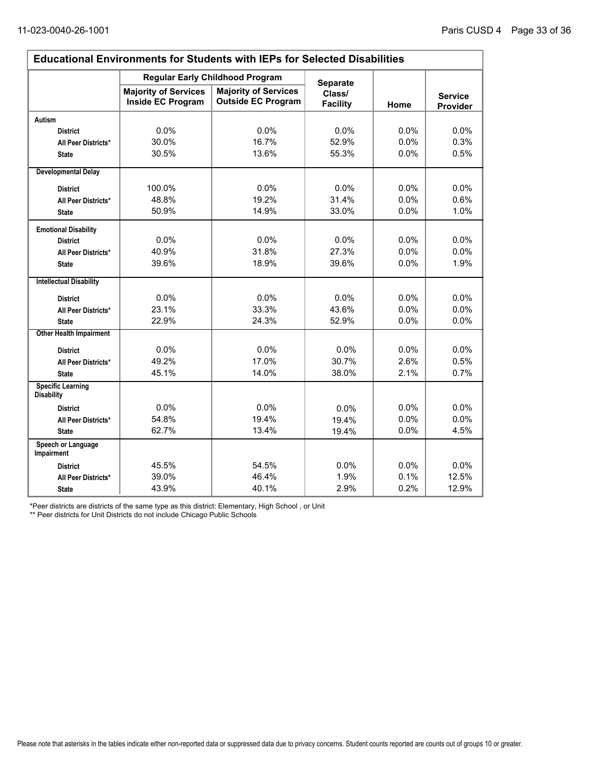$\overline{\phantom{0}}$ 

| <b>Educational Environments for Students with IEPs for Selected Disabilities</b> |                                                         |                                                          |                           |         |                            |  |  |  |
|----------------------------------------------------------------------------------|---------------------------------------------------------|----------------------------------------------------------|---------------------------|---------|----------------------------|--|--|--|
|                                                                                  | <b>Regular Early Childhood Program</b>                  | <b>Separate</b>                                          |                           |         |                            |  |  |  |
|                                                                                  | <b>Majority of Services</b><br><b>Inside EC Program</b> | <b>Majority of Services</b><br><b>Outside EC Program</b> | Class/<br><b>Facility</b> | Home    | <b>Service</b><br>Provider |  |  |  |
| <b>Autism</b>                                                                    |                                                         |                                                          |                           |         |                            |  |  |  |
| <b>District</b>                                                                  | 0.0%                                                    | 0.0%                                                     | 0.0%                      | 0.0%    | 0.0%                       |  |  |  |
| All Peer Districts*                                                              | 30.0%                                                   | 16.7%                                                    | 52.9%                     | 0.0%    | 0.3%                       |  |  |  |
| <b>State</b>                                                                     | 30.5%                                                   | 13.6%                                                    | 55.3%                     | 0.0%    | 0.5%                       |  |  |  |
| <b>Developmental Delay</b>                                                       |                                                         |                                                          |                           |         |                            |  |  |  |
| <b>District</b>                                                                  | 100.0%                                                  | $0.0\%$                                                  | $0.0\%$                   | $0.0\%$ | $0.0\%$                    |  |  |  |
| All Peer Districts*                                                              | 48.8%                                                   | 19.2%                                                    | 31.4%                     | 0.0%    | 0.6%                       |  |  |  |
| <b>State</b>                                                                     | 50.9%                                                   | 14.9%                                                    | 33.0%                     | 0.0%    | 1.0%                       |  |  |  |
| <b>Emotional Disability</b>                                                      |                                                         |                                                          |                           |         |                            |  |  |  |
| <b>District</b>                                                                  | 0.0%                                                    | 0.0%                                                     | 0.0%                      | $0.0\%$ | $0.0\%$                    |  |  |  |
| All Peer Districts*                                                              | 40.9%                                                   | 31.8%                                                    | 27.3%                     | 0.0%    | 0.0%                       |  |  |  |
| <b>State</b>                                                                     | 39.6%                                                   | 18.9%                                                    | 39.6%                     | 0.0%    | 1.9%                       |  |  |  |
| <b>Intellectual Disability</b>                                                   |                                                         |                                                          |                           |         |                            |  |  |  |
| <b>District</b>                                                                  | 0.0%                                                    | 0.0%                                                     | 0.0%                      | 0.0%    | 0.0%                       |  |  |  |
| All Peer Districts*                                                              | 23.1%                                                   | 33.3%                                                    | 43.6%                     | 0.0%    | 0.0%                       |  |  |  |
| <b>State</b>                                                                     | 22.9%                                                   | 24.3%                                                    | 52.9%                     | 0.0%    | 0.0%                       |  |  |  |
| <b>Other Health Impairment</b>                                                   |                                                         |                                                          |                           |         |                            |  |  |  |
| <b>District</b>                                                                  | 0.0%                                                    | 0.0%                                                     | 0.0%                      | 0.0%    | 0.0%                       |  |  |  |
| All Peer Districts*                                                              | 49.2%                                                   | 17.0%                                                    | 30.7%                     | 2.6%    | 0.5%                       |  |  |  |
| <b>State</b>                                                                     | 45.1%                                                   | 14.0%                                                    | 38.0%                     | 2.1%    | 0.7%                       |  |  |  |
| <b>Specific Learning</b><br><b>Disability</b>                                    |                                                         |                                                          |                           |         |                            |  |  |  |
| <b>District</b>                                                                  | 0.0%                                                    | 0.0%                                                     | 0.0%                      | 0.0%    | 0.0%                       |  |  |  |
| All Peer Districts*                                                              | 54.8%                                                   | 19.4%                                                    | 19.4%                     | 0.0%    | 0.0%                       |  |  |  |
| <b>State</b>                                                                     | 62.7%                                                   | 13.4%                                                    | 19.4%                     | 0.0%    | 4.5%                       |  |  |  |
| Speech or Language<br><b>Impairment</b>                                          |                                                         |                                                          |                           |         |                            |  |  |  |
| <b>District</b>                                                                  | 45.5%                                                   | 54.5%                                                    | 0.0%                      | 0.0%    | 0.0%                       |  |  |  |
| All Peer Districts*                                                              | 39.0%                                                   | 46.4%                                                    | 1.9%                      | 0.1%    | 12.5%                      |  |  |  |
| <b>State</b>                                                                     | 43.9%                                                   | 40.1%                                                    | 2.9%                      | 0.2%    | 12.9%                      |  |  |  |

\*Peer districts are districts of the same type as this district: Elementary, High School , or Unit

\*\* Peer districts for Unit Districts do not include Chicago Public Schools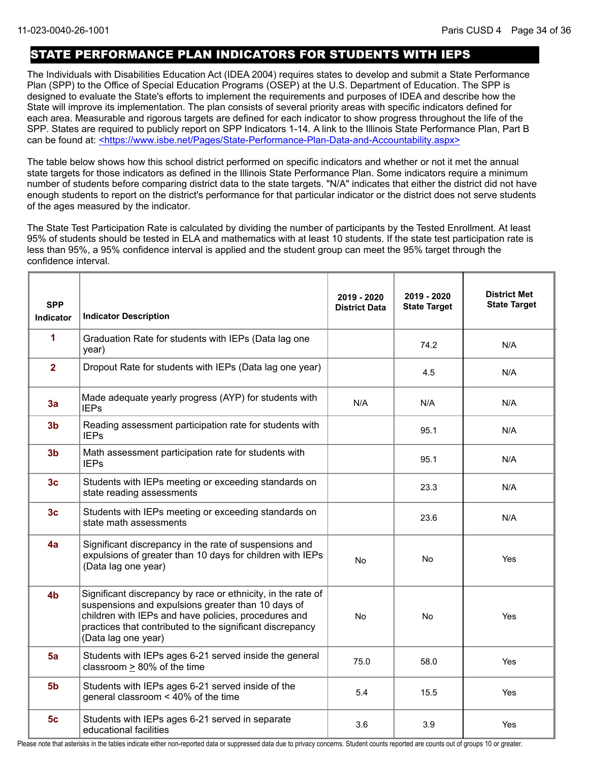### STATE PERFORMANCE PLAN INDICATORS FOR STUDENTS WITH IEPS

The Individuals with Disabilities Education Act (IDEA 2004) requires states to develop and submit a State Performance Plan (SPP) to the Office of Special Education Programs (OSEP) at the U.S. Department of Education. The SPP is designed to evaluate the State's efforts to implement the requirements and purposes of IDEA and describe how the State will improve its implementation. The plan consists of several priority areas with specific indicators defined for each area. Measurable and rigorous targets are defined for each indicator to show progress throughout the life of the SPP. States are required to publicly report on SPP Indicators 1-14. A link to the Illinois State Performance Plan, Part B can be found at: <https://www.isbe.net/Pages/State-Performance-Plan-Data-and-Accountability.aspx>

The table below shows how this school district performed on specific indicators and whether or not it met the annual state targets for those indicators as defined in the Illinois State Performance Plan. Some indicators require a minimum number of students before comparing district data to the state targets. "N/A" indicates that either the district did not have enough students to report on the district's performance for that particular indicator or the district does not serve students of the ages measured by the indicator.

The State Test Participation Rate is calculated by dividing the number of participants by the Tested Enrollment. At least 95% of students should be tested in ELA and mathematics with at least 10 students. If the state test participation rate is less than 95%, a 95% confidence interval is applied and the student group can meet the 95% target through the confidence interval.

| <b>SPP</b><br><b>Indicator</b> | <b>Indicator Description</b>                                                                                                                                                                                                                                   | 2019 - 2020<br><b>District Data</b> | 2019 - 2020<br><b>State Target</b> | <b>District Met</b><br><b>State Target</b> |
|--------------------------------|----------------------------------------------------------------------------------------------------------------------------------------------------------------------------------------------------------------------------------------------------------------|-------------------------------------|------------------------------------|--------------------------------------------|
| 1                              | Graduation Rate for students with IEPs (Data lag one<br>year)                                                                                                                                                                                                  |                                     | 74.2                               | N/A                                        |
| $\overline{2}$                 | Dropout Rate for students with IEPs (Data lag one year)                                                                                                                                                                                                        |                                     | 4.5                                | N/A                                        |
| 3a                             | Made adequate yearly progress (AYP) for students with<br><b>IEPs</b>                                                                                                                                                                                           | N/A                                 | N/A                                | N/A                                        |
| 3 <sub>b</sub>                 | Reading assessment participation rate for students with<br><b>IEPs</b>                                                                                                                                                                                         |                                     | 95.1                               | N/A                                        |
| 3 <sub>b</sub>                 | Math assessment participation rate for students with<br><b>IEPs</b>                                                                                                                                                                                            |                                     | 95.1                               | N/A                                        |
| 3 <sub>c</sub>                 | Students with IEPs meeting or exceeding standards on<br>state reading assessments                                                                                                                                                                              |                                     | 23.3                               | N/A                                        |
| 3 <sub>c</sub>                 | Students with IEPs meeting or exceeding standards on<br>state math assessments                                                                                                                                                                                 |                                     | 23.6                               | N/A                                        |
| 4a                             | Significant discrepancy in the rate of suspensions and<br>expulsions of greater than 10 days for children with IEPs<br>(Data lag one year)                                                                                                                     | <b>No</b>                           | No                                 | Yes                                        |
| 4 <sub>b</sub>                 | Significant discrepancy by race or ethnicity, in the rate of<br>suspensions and expulsions greater than 10 days of<br>children with IEPs and have policies, procedures and<br>practices that contributed to the significant discrepancy<br>(Data lag one year) | <b>No</b>                           | <b>No</b>                          | Yes                                        |
| 5a                             | Students with IEPs ages 6-21 served inside the general<br>classroom > 80% of the time                                                                                                                                                                          | 75.0                                | 58.0                               | Yes                                        |
| 5 <sub>b</sub>                 | Students with IEPs ages 6-21 served inside of the<br>general classroom < 40% of the time                                                                                                                                                                       | 5.4                                 | 15.5                               | Yes                                        |
| 5 <sub>c</sub>                 | Students with IEPs ages 6-21 served in separate<br>educational facilities                                                                                                                                                                                      | 3.6                                 | 3.9                                | Yes                                        |

Please note that asterisks in the tables indicate either non-reported data or suppressed data due to privacy concerns. Student counts reported are counts out of groups 10 or greater.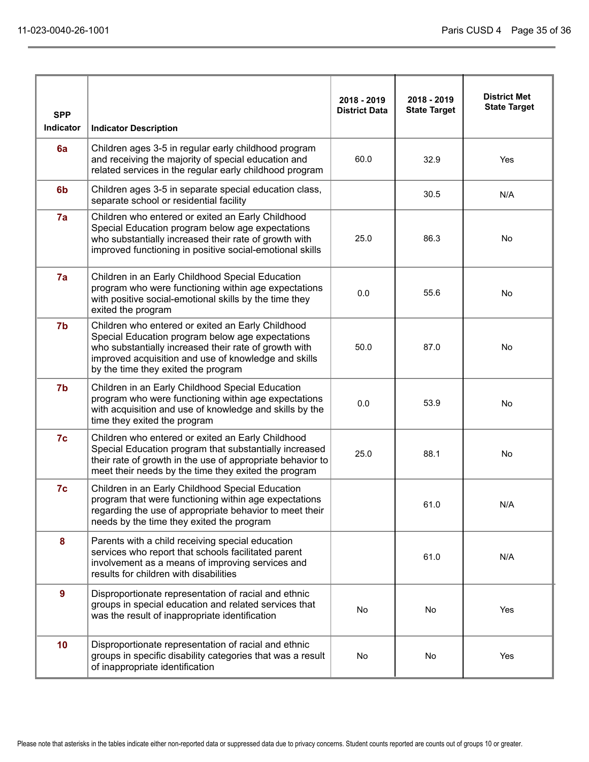| <b>SPP</b><br>Indicator | <b>Indicator Description</b>                                                                                                                                                                                                                                  | 2018 - 2019<br><b>District Data</b> | 2018 - 2019<br><b>State Target</b> | <b>District Met</b><br><b>State Target</b> |
|-------------------------|---------------------------------------------------------------------------------------------------------------------------------------------------------------------------------------------------------------------------------------------------------------|-------------------------------------|------------------------------------|--------------------------------------------|
| 6a                      | Children ages 3-5 in regular early childhood program<br>and receiving the majority of special education and<br>related services in the regular early childhood program                                                                                        | 60.0                                | 32.9                               | Yes                                        |
| 6 <sub>b</sub>          | Children ages 3-5 in separate special education class,<br>separate school or residential facility                                                                                                                                                             |                                     | 30.5                               | N/A                                        |
| 7a                      | Children who entered or exited an Early Childhood<br>Special Education program below age expectations<br>who substantially increased their rate of growth with<br>improved functioning in positive social-emotional skills                                    | 25.0                                | 86.3                               | No                                         |
| 7a                      | Children in an Early Childhood Special Education<br>program who were functioning within age expectations<br>with positive social-emotional skills by the time they<br>exited the program                                                                      | 0.0                                 | 55.6                               | <b>No</b>                                  |
| 7 <sub>b</sub>          | Children who entered or exited an Early Childhood<br>Special Education program below age expectations<br>who substantially increased their rate of growth with<br>improved acquisition and use of knowledge and skills<br>by the time they exited the program | 50.0                                | 87.0                               | <b>No</b>                                  |
| 7 <sub>b</sub>          | Children in an Early Childhood Special Education<br>program who were functioning within age expectations<br>with acquisition and use of knowledge and skills by the<br>time they exited the program                                                           | 0.0                                 | 53.9                               | No                                         |
| 7c                      | Children who entered or exited an Early Childhood<br>Special Education program that substantially increased<br>their rate of growth in the use of appropriate behavior to<br>meet their needs by the time they exited the program                             | 25.0                                | 88.1                               | No                                         |
| 7c                      | Children in an Early Childhood Special Education<br>program that were functioning within age expectations<br>regarding the use of appropriate behavior to meet their<br>needs by the time they exited the program                                             |                                     | 61.0                               | N/A                                        |
| 8                       | Parents with a child receiving special education<br>services who report that schools facilitated parent<br>involvement as a means of improving services and<br>results for children with disabilities                                                         |                                     | 61.0                               | N/A                                        |
| 9                       | Disproportionate representation of racial and ethnic<br>groups in special education and related services that<br>was the result of inappropriate identification                                                                                               | No                                  | No                                 | Yes                                        |
| 10 <sub>1</sub>         | Disproportionate representation of racial and ethnic<br>groups in specific disability categories that was a result<br>of inappropriate identification                                                                                                         | No                                  | No                                 | Yes                                        |